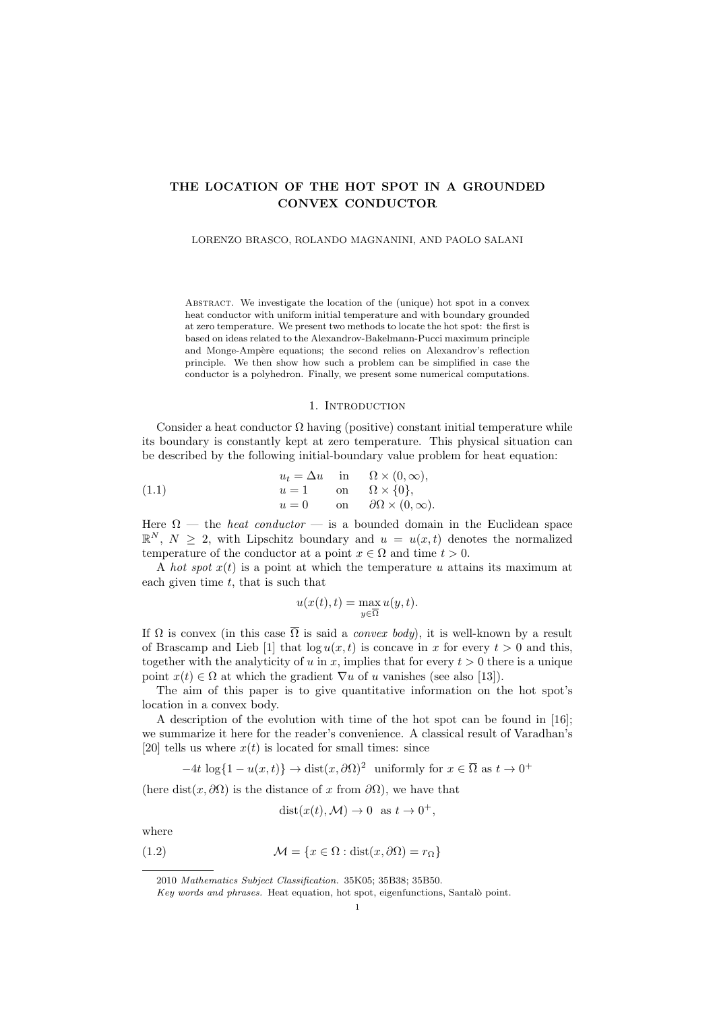# THE LOCATION OF THE HOT SPOT IN A GROUNDED CONVEX CONDUCTOR

#### LORENZO BRASCO, ROLANDO MAGNANINI, AND PAOLO SALANI

ABSTRACT. We investigate the location of the (unique) hot spot in a convex heat conductor with uniform initial temperature and with boundary grounded at zero temperature. We present two methods to locate the hot spot: the first is based on ideas related to the Alexandrov-Bakelmann-Pucci maximum principle and Monge-Ampère equations; the second relies on Alexandrov's reflection principle. We then show how such a problem can be simplified in case the conductor is a polyhedron. Finally, we present some numerical computations.

## 1. Introduction

Consider a heat conductor  $\Omega$  having (positive) constant initial temperature while its boundary is constantly kept at zero temperature. This physical situation can be described by the following initial-boundary value problem for heat equation:

(1.1) 
$$
u_t = \Delta u \quad \text{in} \quad \Omega \times (0, \infty),
$$

$$
u = 1 \quad \text{on} \quad \Omega \times \{0\},
$$

$$
u = 0 \quad \text{on} \quad \partial\Omega \times (0, \infty).
$$

Here  $\Omega$  — the *heat conductor* — is a bounded domain in the Euclidean space  $\mathbb{R}^N$ ,  $N \geq 2$ , with Lipschitz boundary and  $u = u(x, t)$  denotes the normalized temperature of the conductor at a point  $x \in \Omega$  and time  $t > 0$ .

A hot spot  $x(t)$  is a point at which the temperature u attains its maximum at each given time  $t$ , that is such that

$$
u(x(t),t)=\max_{y\in\overline{\Omega}}u(y,t).
$$

If  $\Omega$  is convex (in this case  $\overline{\Omega}$  is said a *convex body*), it is well-known by a result of Brascamp and Lieb [1] that  $\log u(x, t)$  is concave in x for every  $t > 0$  and this, together with the analyticity of u in x, implies that for every  $t > 0$  there is a unique point  $x(t) \in \Omega$  at which the gradient  $\nabla u$  of u vanishes (see also [13]).

The aim of this paper is to give quantitative information on the hot spot's location in a convex body.

A description of the evolution with time of the hot spot can be found in [16]; we summarize it here for the reader's convenience. A classical result of Varadhan's [20] tells us where  $x(t)$  is located for small times: since

 $-4t \log\{1-u(x,t)\}\rightarrow \text{dist}(x,\partial\Omega)^2$  uniformly for  $x \in \overline{\Omega}$  as  $t \rightarrow 0^+$ 

(here dist(x,  $\partial\Omega$ ) is the distance of x from  $\partial\Omega$ ), we have that

$$
dist(x(t), \mathcal{M}) \to 0 \text{ as } t \to 0^+,
$$

where

(1.2) 
$$
\mathcal{M} = \{x \in \Omega : \text{dist}(x, \partial \Omega) = r_{\Omega}\}\
$$

<sup>2010</sup> Mathematics Subject Classification. 35K05; 35B38; 35B50.

Key words and phrases. Heat equation, hot spot, eigenfunctions, Santalò point.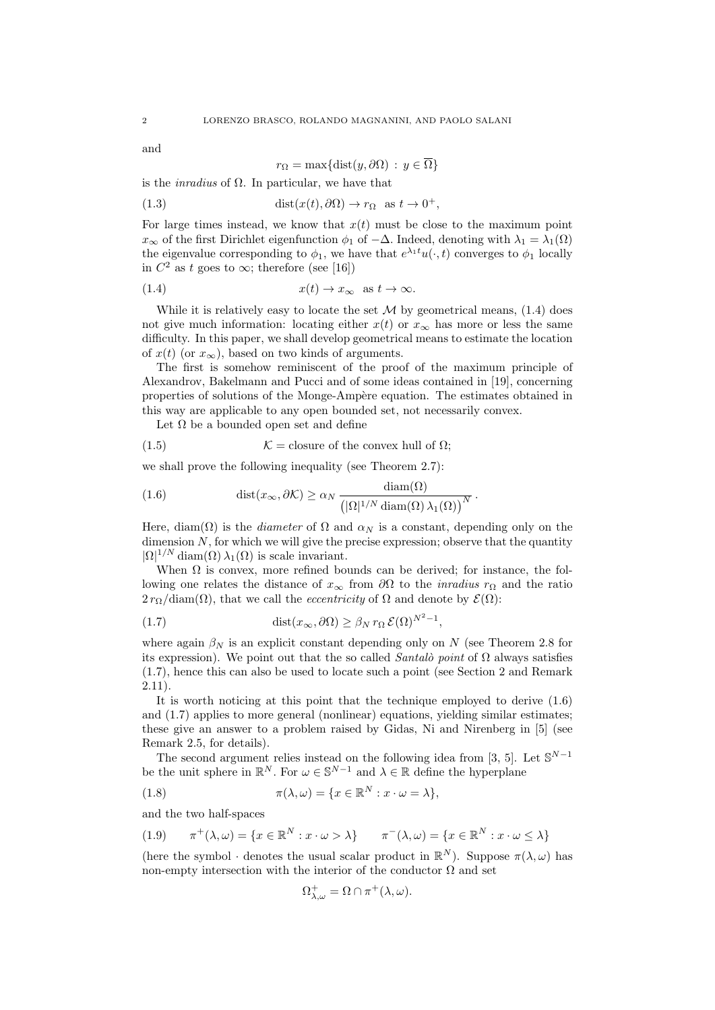and

$$
r_{\Omega} = \max\{\text{dist}(y, \partial \Omega) : y \in \overline{\Omega}\}\
$$

is the *inradius* of  $\Omega$ . In particular, we have that

(1.3) 
$$
\text{dist}(x(t), \partial \Omega) \to r_{\Omega} \text{ as } t \to 0^+,
$$

For large times instead, we know that  $x(t)$  must be close to the maximum point  $x_{\infty}$  of the first Dirichlet eigenfunction  $\phi_1$  of  $-\Delta$ . Indeed, denoting with  $\lambda_1 = \lambda_1(\Omega)$ the eigenvalue corresponding to  $\phi_1$ , we have that  $e^{\lambda_1 t}u(\cdot,t)$  converges to  $\phi_1$  locally in  $C^2$  as t goes to  $\infty$ ; therefore (see [16])

$$
(1.4) \t\t x(t) \to x_{\infty} \text{ as } t \to \infty.
$$

While it is relatively easy to locate the set  $\mathcal M$  by geometrical means, (1.4) does not give much information: locating either  $x(t)$  or  $x_{\infty}$  has more or less the same difficulty. In this paper, we shall develop geometrical means to estimate the location of  $x(t)$  (or  $x_{\infty}$ ), based on two kinds of arguments.

The first is somehow reminiscent of the proof of the maximum principle of Alexandrov, Bakelmann and Pucci and of some ideas contained in [19], concerning properties of solutions of the Monge-Ampère equation. The estimates obtained in this way are applicable to any open bounded set, not necessarily convex.

Let  $\Omega$  be a bounded open set and define

(1.5)  $\mathcal{K} = \text{closure of the convex hull of } \Omega;$ 

we shall prove the following inequality (see Theorem 2.7):

(1.6) 
$$
\text{dist}(x_{\infty}, \partial \mathcal{K}) \ge \alpha_N \frac{\text{diam}(\Omega)}{\left(|\Omega|^{1/N} \text{diam}(\Omega) \lambda_1(\Omega)\right)^N}.
$$

Here, diam( $\Omega$ ) is the *diameter* of  $\Omega$  and  $\alpha_N$  is a constant, depending only on the dimension  $N$ , for which we will give the precise expression; observe that the quantity  $|\Omega|^{1/N}$  diam $(\Omega) \lambda_1(\Omega)$  is scale invariant.

When  $\Omega$  is convex, more refined bounds can be derived; for instance, the following one relates the distance of  $x_{\infty}$  from  $\partial\Omega$  to the *inradius*  $r_{\Omega}$  and the ratio  $2r_{\Omega}/\text{diam}(\Omega)$ , that we call the *eccentricity* of  $\Omega$  and denote by  $\mathcal{E}(\Omega)$ :

(1.7) 
$$
\text{dist}(x_{\infty}, \partial \Omega) \geq \beta_N r_{\Omega} \mathcal{E}(\Omega)^{N^2 - 1},
$$

where again  $\beta_N$  is an explicit constant depending only on N (see Theorem 2.8 for its expression). We point out that the so called Santalò point of  $\Omega$  always satisfies (1.7), hence this can also be used to locate such a point (see Section 2 and Remark 2.11).

It is worth noticing at this point that the technique employed to derive (1.6) and (1.7) applies to more general (nonlinear) equations, yielding similar estimates; these give an answer to a problem raised by Gidas, Ni and Nirenberg in [5] (see Remark 2.5, for details).

The second argument relies instead on the following idea from [3, 5]. Let  $\mathbb{S}^{N-1}$ be the unit sphere in  $\mathbb{R}^N$ . For  $\omega \in \mathbb{S}^{N-1}$  and  $\lambda \in \mathbb{R}$  define the hyperplane

(1.8) 
$$
\pi(\lambda, \omega) = \{x \in \mathbb{R}^N : x \cdot \omega = \lambda\},
$$

and the two half-spaces

(1.9) 
$$
\pi^+(\lambda, \omega) = \{x \in \mathbb{R}^N : x \cdot \omega > \lambda\} \qquad \pi^-(\lambda, \omega) = \{x \in \mathbb{R}^N : x \cdot \omega \le \lambda\}
$$

(here the symbol  $\cdot$  denotes the usual scalar product in  $\mathbb{R}^N$ ). Suppose  $\pi(\lambda, \omega)$  has non-empty intersection with the interior of the conductor  $\Omega$  and set

$$
\Omega_{\lambda,\omega}^+ = \Omega \cap \pi^+(\lambda,\omega).
$$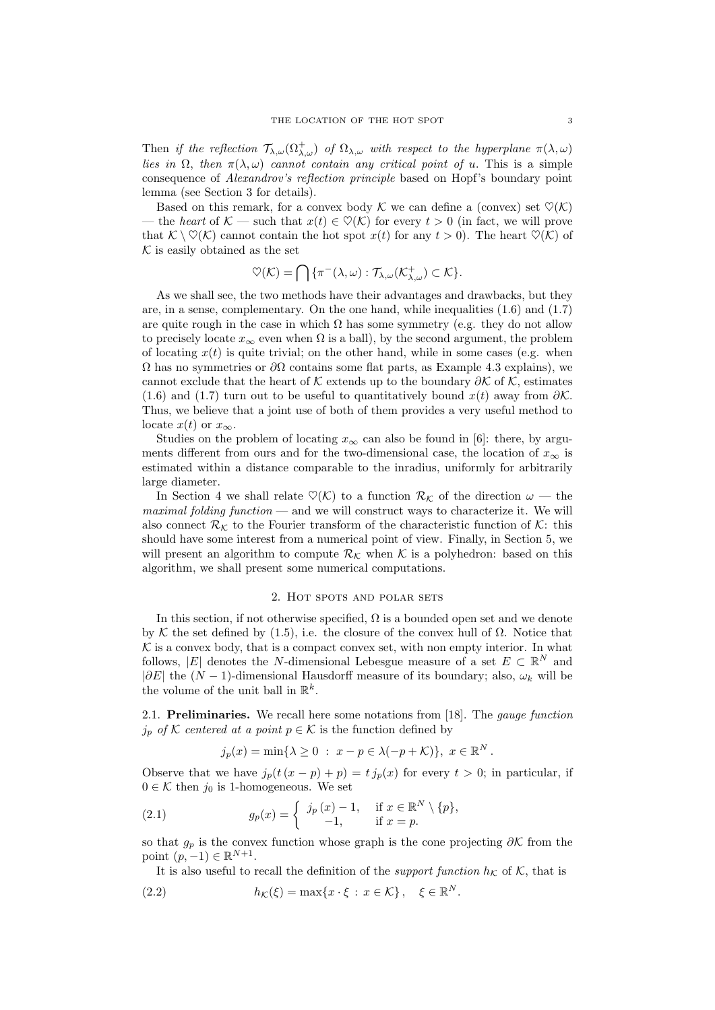Then if the reflection  $\mathcal{T}_{\lambda,\omega}(\Omega_{\lambda,\omega}^+)$  of  $\Omega_{\lambda,\omega}$  with respect to the hyperplane  $\pi(\lambda,\omega)$ lies in  $\Omega$ , then  $\pi(\lambda, \omega)$  cannot contain any critical point of u. This is a simple consequence of Alexandrov's reflection principle based on Hopf's boundary point lemma (see Section 3 for details).

Based on this remark, for a convex body  $\mathcal K$  we can define a (convex) set  $\mathcal O(\mathcal K)$ — the heart of  $\mathcal{K}$  — such that  $x(t) \in \mathcal{O}(\mathcal{K})$  for every  $t > 0$  (in fact, we will prove that  $\mathcal{K} \setminus \heartsuit(\mathcal{K})$  cannot contain the hot spot  $x(t)$  for any  $t > 0$ ). The heart  $\heartsuit(\mathcal{K})$  of  $K$  is easily obtained as the set

$$
\heartsuit(\mathcal{K}) = \bigcap \{ \pi^{-}(\lambda,\omega) : \mathcal{T}_{\lambda,\omega}(\mathcal{K}_{\lambda,\omega}^{+}) \subset \mathcal{K} \}.
$$

As we shall see, the two methods have their advantages and drawbacks, but they are, in a sense, complementary. On the one hand, while inequalities (1.6) and (1.7) are quite rough in the case in which  $\Omega$  has some symmetry (e.g. they do not allow to precisely locate  $x_{\infty}$  even when  $\Omega$  is a ball), by the second argument, the problem of locating  $x(t)$  is quite trivial; on the other hand, while in some cases (e.g. when  $Ω$  has no symmetries or  $∂Ω$  contains some flat parts, as Example 4.3 explains), we cannot exclude that the heart of K extends up to the boundary  $\partial \mathcal{K}$  of K, estimates (1.6) and (1.7) turn out to be useful to quantitatively bound  $x(t)$  away from  $\partial K$ . Thus, we believe that a joint use of both of them provides a very useful method to locate  $x(t)$  or  $x_{\infty}$ .

Studies on the problem of locating  $x_{\infty}$  can also be found in [6]: there, by arguments different from ours and for the two-dimensional case, the location of  $x_{\infty}$  is estimated within a distance comparable to the inradius, uniformly for arbitrarily large diameter.

In Section 4 we shall relate  $\mathcal{O}(\mathcal{K})$  to a function  $\mathcal{R}_{\mathcal{K}}$  of the direction  $\omega$  — the maximal folding function — and we will construct ways to characterize it. We will also connect  $\mathcal{R}_{\kappa}$  to the Fourier transform of the characteristic function of K: this should have some interest from a numerical point of view. Finally, in Section 5, we will present an algorithm to compute  $\mathcal{R}_k$  when K is a polyhedron: based on this algorithm, we shall present some numerical computations.

## 2. Hot spots and polar sets

In this section, if not otherwise specified,  $\Omega$  is a bounded open set and we denote by K the set defined by (1.5), i.e. the closure of the convex hull of  $\Omega$ . Notice that  $K$  is a convex body, that is a compact convex set, with non empty interior. In what follows, |E| denotes the N-dimensional Lebesgue measure of a set  $E \subset \mathbb{R}^N$  and  $|\partial E|$  the  $(N-1)$ -dimensional Hausdorff measure of its boundary; also,  $\omega_k$  will be the volume of the unit ball in  $\mathbb{R}^k$ .

2.1. Preliminaries. We recall here some notations from [18]. The *gauge function*  $j_p$  of K centered at a point  $p \in \mathcal{K}$  is the function defined by

$$
j_p(x) = \min\{\lambda \ge 0 : x - p \in \lambda(-p + \mathcal{K})\}, x \in \mathbb{R}^N.
$$

Observe that we have  $j_p(t(x-p)+p) = t j_p(x)$  for every  $t > 0$ ; in particular, if  $0\in\mathcal{K}$  then  $j_0$  is 1-homogeneous. We set

(2.1) 
$$
g_p(x) = \begin{cases} j_p(x) - 1, & \text{if } x \in \mathbb{R}^N \setminus \{p\}, \\ -1, & \text{if } x = p. \end{cases}
$$

so that  $g_p$  is the convex function whose graph is the cone projecting  $\partial \mathcal{K}$  from the point  $(p, -1) \in \mathbb{R}^{N+1}$ .

It is also useful to recall the definition of the *support function*  $h<sub>K</sub>$  of K, that is

(2.2) 
$$
h_{\mathcal{K}}(\xi) = \max\{x \cdot \xi \,:\, x \in \mathcal{K}\}, \quad \xi \in \mathbb{R}^N.
$$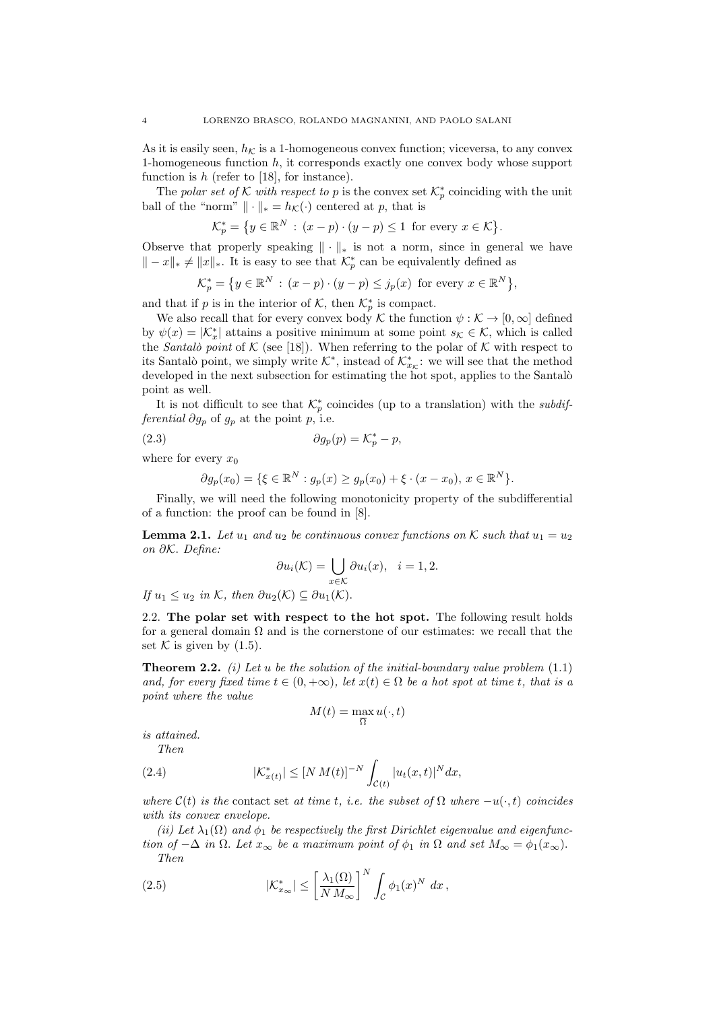As it is easily seen,  $h<sub>K</sub>$  is a 1-homogeneous convex function; viceversa, to any convex 1-homogeneous function  $h$ , it corresponds exactly one convex body whose support function is  $h$  (refer to [18], for instance).

The polar set of K with respect to p is the convex set  $\mathcal{K}_p^*$  coinciding with the unit ball of the "norm"  $\|\cdot\|_* = h_{\mathcal{K}}(\cdot)$  centered at p, that is

$$
\mathcal{K}_p^* = \left\{ y \in \mathbb{R}^N \, : \, (x - p) \cdot (y - p) \le 1 \text{ for every } x \in \mathcal{K} \right\}.
$$

Observe that properly speaking  $\|\cdot\|_*$  is not a norm, since in general we have  $|| - x||_* \neq ||x||_*$ . It is easy to see that  $\mathcal{K}_p^*$  can be equivalently defined as

$$
\mathcal{K}_p^* = \left\{ y \in \mathbb{R}^N \, : \, (x - p) \cdot (y - p) \le j_p(x) \text{ for every } x \in \mathbb{R}^N \right\},\
$$

and that if p is in the interior of K, then  $\mathcal{K}_p^*$  is compact.

We also recall that for every convex body K the function  $\psi : \mathcal{K} \to [0, \infty]$  defined by  $\psi(x) = |\mathcal{K}_x^*|$  attains a positive minimum at some point  $s_{\mathcal{K}} \in \mathcal{K}$ , which is called the Santalò point of K (see [18]). When referring to the polar of K with respect to its Santalò point, we simply write  $\mathcal{K}^*$ , instead of  $\mathcal{K}^*_{x_{\mathcal{K}}}$ : we will see that the method developed in the next subsection for estimating the hot spot, applies to the Santalò point as well.

It is not difficult to see that  $\mathcal{K}_p^*$  coincides (up to a translation) with the *subdifferential*  $\partial g_p$  of  $g_p$  at the point p, i.e.

(2.3) 
$$
\partial g_p(p) = \mathcal{K}_p^* - p,
$$

where for every  $x_0$ 

$$
\partial g_p(x_0) = \{ \xi \in \mathbb{R}^N : g_p(x) \ge g_p(x_0) + \xi \cdot (x - x_0), \ x \in \mathbb{R}^N \}.
$$

Finally, we will need the following monotonicity property of the subdifferential of a function: the proof can be found in [8].

**Lemma 2.1.** Let  $u_1$  and  $u_2$  be continuous convex functions on K such that  $u_1 = u_2$ on ∂K. Define:

$$
\partial u_i(\mathcal{K}) = \bigcup_{x \in \mathcal{K}} \partial u_i(x), \quad i = 1, 2.
$$

If  $u_1 \leq u_2$  in K, then  $\partial u_2(\mathcal{K}) \subseteq \partial u_1(\mathcal{K})$ .

2.2. The polar set with respect to the hot spot. The following result holds for a general domain  $\Omega$  and is the cornerstone of our estimates: we recall that the set K is given by  $(1.5)$ .

**Theorem 2.2.** (i) Let u be the solution of the initial-boundary value problem  $(1.1)$ and, for every fixed time  $t \in (0, +\infty)$ , let  $x(t) \in \Omega$  be a hot spot at time t, that is a point where the value

$$
M(t) = \max_{\overline{\Omega}} u(\cdot, t)
$$

is attained. Then

(2.4) 
$$
|\mathcal{K}_{x(t)}^*| \leq [N M(t)]^{-N} \int_{\mathcal{C}(t)} |u_t(x,t)|^N dx,
$$

where  $\mathcal{C}(t)$  is the contact set at time t, i.e. the subset of  $\Omega$  where  $-u(\cdot,t)$  coincides with its convex envelope.

(ii) Let  $\lambda_1(\Omega)$  and  $\phi_1$  be respectively the first Dirichlet eigenvalue and eigenfunction of  $-\Delta$  in  $\Omega$ . Let  $x_{\infty}$  be a maximum point of  $\phi_1$  in  $\Omega$  and set  $M_{\infty} = \phi_1(x_{\infty})$ . Then

(2.5) 
$$
|\mathcal{K}_{x_{\infty}}^*| \leq \left[\frac{\lambda_1(\Omega)}{N M_{\infty}}\right]^N \int_{\mathcal{C}} \phi_1(x)^N dx,
$$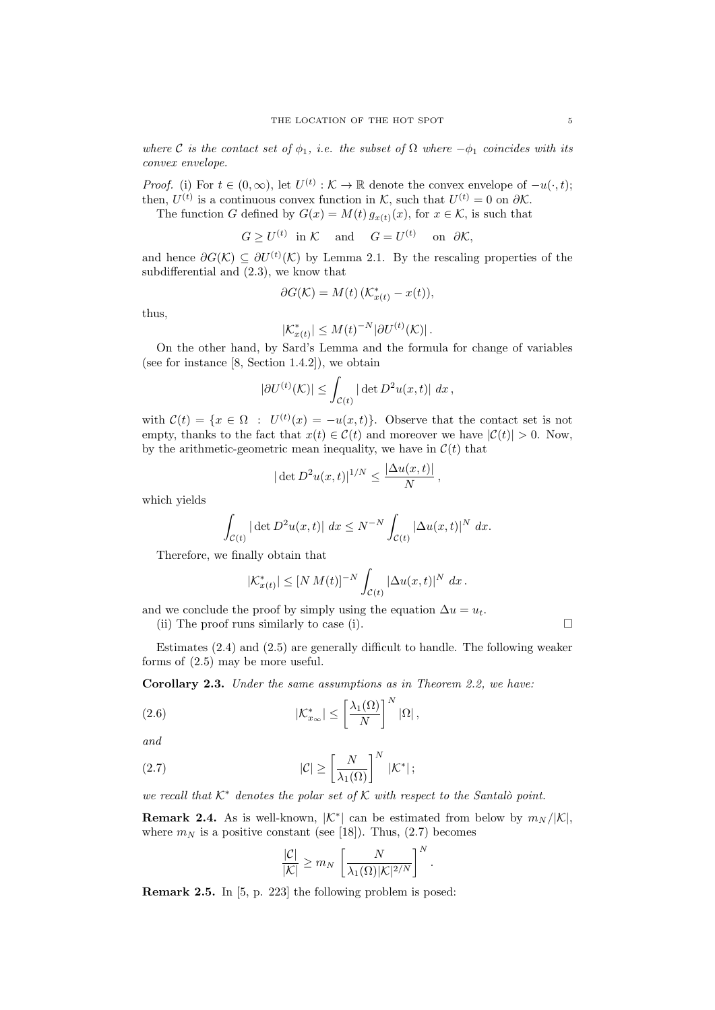where C is the contact set of  $\phi_1$ , i.e. the subset of  $\Omega$  where  $-\phi_1$  coincides with its convex envelope.

*Proof.* (i) For  $t \in (0, \infty)$ , let  $U^{(t)} : \mathcal{K} \to \mathbb{R}$  denote the convex envelope of  $-u(\cdot, t)$ ; then,  $U^{(t)}$  is a continuous convex function in K, such that  $U^{(t)} = 0$  on  $\partial K$ .

The function G defined by  $G(x) = M(t) g_{x(t)}(x)$ , for  $x \in \mathcal{K}$ , is such that

$$
G \ge U^{(t)}
$$
 in K and  $G = U^{(t)}$  on  $\partial K$ ,

and hence  $\partial G(\mathcal{K}) \subseteq \partial U^{(t)}(\mathcal{K})$  by Lemma 2.1. By the rescaling properties of the subdifferential and (2.3), we know that

$$
\partial G(\mathcal{K}) = M(t) \left( \mathcal{K}_{x(t)}^* - x(t) \right),
$$

thus,

$$
|\mathcal{K}_{x(t)}^*| \leq M(t)^{-N} |\partial U^{(t)}(\mathcal{K})|.
$$

On the other hand, by Sard's Lemma and the formula for change of variables (see for instance [8, Section 1.4.2]), we obtain

$$
|\partial U^{(t)}(\mathcal{K})| \leq \int_{\mathcal{C}(t)} |\det D^2 u(x,t)| dx,
$$

with  $\mathcal{C}(t) = \{x \in \Omega : U^{(t)}(x) = -u(x,t)\}.$  Observe that the contact set is not empty, thanks to the fact that  $x(t) \in \mathcal{C}(t)$  and moreover we have  $|\mathcal{C}(t)| > 0$ . Now, by the arithmetic-geometric mean inequality, we have in  $\mathcal{C}(t)$  that

$$
|\det D^2 u(x,t)|^{1/N} \le \frac{|\Delta u(x,t)|}{N},
$$

which yields

$$
\int_{\mathcal{C}(t)} |\det D^2 u(x,t)| dx \le N^{-N} \int_{\mathcal{C}(t)} |\Delta u(x,t)|^N dx.
$$

Therefore, we finally obtain that

$$
|\mathcal{K}_{x(t)}^{*}| \leq [N M(t)]^{-N} \int_{\mathcal{C}(t)} |\Delta u(x,t)|^{N} dx.
$$

and we conclude the proof by simply using the equation  $\Delta u = u_t$ .

(ii) The proof runs similarly to case (i).  $\Box$ 

Estimates (2.4) and (2.5) are generally difficult to handle. The following weaker forms of (2.5) may be more useful.

Corollary 2.3. Under the same assumptions as in Theorem 2.2, we have:

(2.6) 
$$
|\mathcal{K}_{x_{\infty}}^*| \leq \left[\frac{\lambda_1(\Omega)}{N}\right]^N |\Omega|,
$$

and

(2.7) 
$$
|\mathcal{C}| \geq \left[\frac{N}{\lambda_1(\Omega)}\right]^N |\mathcal{K}^*|;
$$

we recall that  $K^*$  denotes the polar set of K with respect to the Santalò point.

**Remark 2.4.** As is well-known,  $|\mathcal{K}^*|$  can be estimated from below by  $m_N/|\mathcal{K}|$ , where  $m_N$  is a positive constant (see [18]). Thus, (2.7) becomes

$$
\frac{|C|}{|K|} \ge m_N \left[ \frac{N}{\lambda_1(\Omega)|K|^{2/N}} \right]^N.
$$

Remark 2.5. In [5, p. 223] the following problem is posed: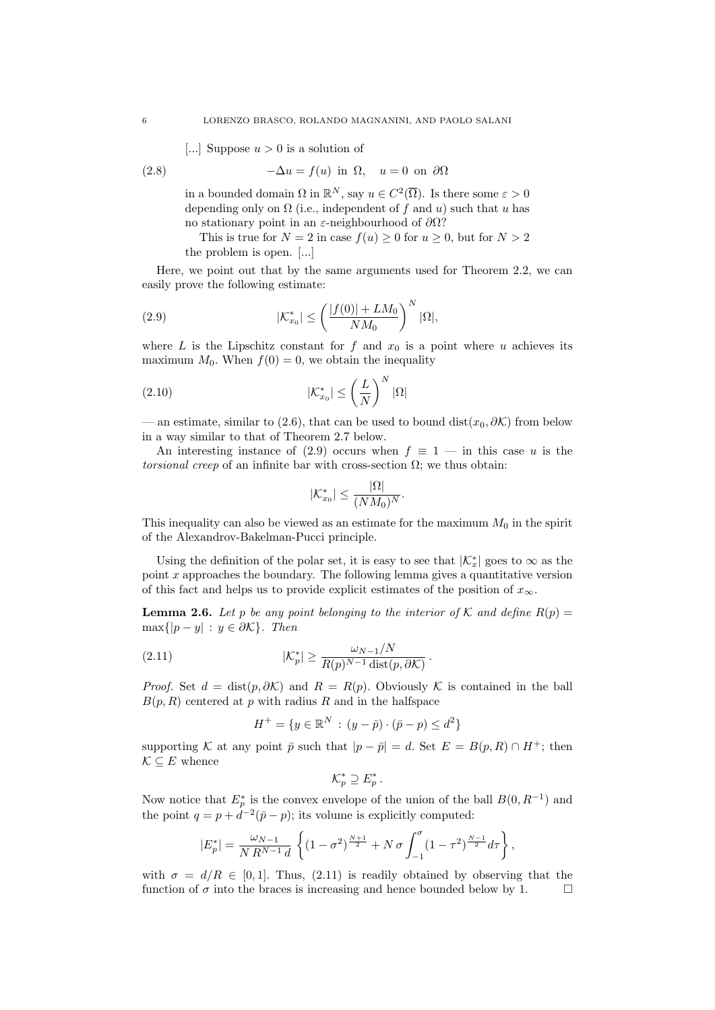[...] Suppose  $u > 0$  is a solution of

(2.8) 
$$
-\Delta u = f(u) \text{ in } \Omega, \quad u = 0 \text{ on } \partial\Omega
$$

in a bounded domain  $\Omega$  in  $\mathbb{R}^N$ , say  $u \in C^2(\overline{\Omega})$ . Is there some  $\varepsilon > 0$ depending only on  $\Omega$  (i.e., independent of f and u) such that u has no stationary point in an  $\varepsilon$ -neighbourhood of  $\partial\Omega$ ?

This is true for  $N = 2$  in case  $f(u) \ge 0$  for  $u \ge 0$ , but for  $N > 2$ the problem is open. [...]

Here, we point out that by the same arguments used for Theorem 2.2, we can easily prove the following estimate:

(2.9) 
$$
|\mathcal{K}_{x_0}^*| \leq \left(\frac{|f(0)| + LM_0}{NM_0}\right)^N |\Omega|,
$$

where L is the Lipschitz constant for f and  $x_0$  is a point where u achieves its maximum  $M_0$ . When  $f(0) = 0$ , we obtain the inequality

$$
|\mathcal{K}_{x_0}^*| \le \left(\frac{L}{N}\right)^N |\Omega|
$$

— an estimate, similar to (2.6), that can be used to bound dist( $x_0, \partial \mathcal{K}$ ) from below in a way similar to that of Theorem 2.7 below.

An interesting instance of (2.9) occurs when  $f \equiv 1$  — in this case u is the torsional creep of an infinite bar with cross-section  $\Omega$ ; we thus obtain:

$$
|\mathcal{K}_{x_0}^*| \leq \frac{|\Omega|}{(NM_0)^N}.
$$

This inequality can also be viewed as an estimate for the maximum  $M_0$  in the spirit of the Alexandrov-Bakelman-Pucci principle.

Using the definition of the polar set, it is easy to see that  $|\mathcal{K}^*_x|$  goes to  $\infty$  as the point  $x$  approaches the boundary. The following lemma gives a quantitative version of this fact and helps us to provide explicit estimates of the position of  $x_{\infty}$ .

**Lemma 2.6.** Let p be any point belonging to the interior of K and define  $R(p)$  =  $\max\{|p-y| : y \in \partial \mathcal{K}\}.$  Then

(2.11) 
$$
|\mathcal{K}_p^*| \ge \frac{\omega_{N-1}/N}{R(p)^{N-1}\operatorname{dist}(p,\partial \mathcal{K})}
$$

*Proof.* Set  $d = dist(p, \partial \mathcal{K})$  and  $R = R(p)$ . Obviously K is contained in the ball  $B(p, R)$  centered at p with radius R and in the halfspace

.

$$
H^{+} = \{ y \in \mathbb{R}^{N} : (y - \bar{p}) \cdot (\bar{p} - p) \leq d^{2} \}
$$

supporting K at any point  $\bar{p}$  such that  $|p - \bar{p}| = d$ . Set  $E = B(p, R) \cap H^{+}$ ; then  $\mathcal{K} \subseteq E$  whence

$$
\mathcal{K}_p^* \supseteq E_p^*.
$$

Now notice that  $E_p^*$  is the convex envelope of the union of the ball  $B(0, R^{-1})$  and the point  $q = p + d^{-2}(\bar{p} - p)$ ; its volume is explicitly computed:

$$
|E_p^*| = \frac{\omega_{N-1}}{N R^{N-1} d} \left\{ (1 - \sigma^2)^{\frac{N+1}{2}} + N \sigma \int_{-1}^{\sigma} (1 - \tau^2)^{\frac{N-1}{2}} d\tau \right\},\,
$$

with  $\sigma = d/R \in [0, 1]$ . Thus, (2.11) is readily obtained by observing that the function of  $\sigma$  into the braces is increasing and hence bounded below by 1.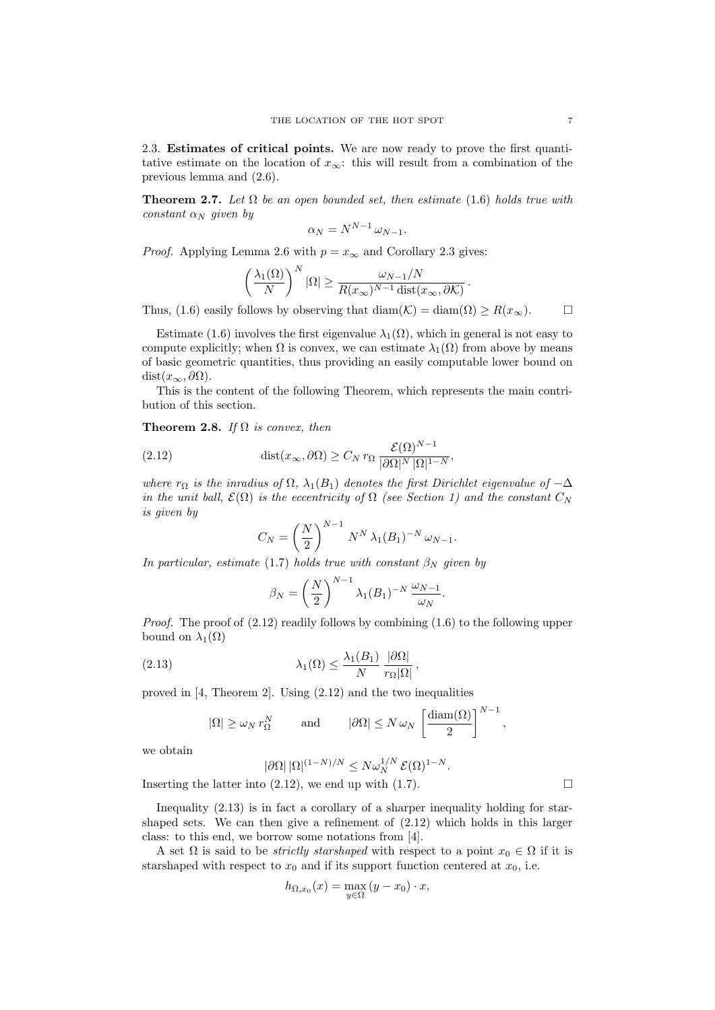2.3. Estimates of critical points. We are now ready to prove the first quantitative estimate on the location of  $x_{\infty}$ : this will result from a combination of the previous lemma and (2.6).

**Theorem 2.7.** Let  $\Omega$  be an open bounded set, then estimate (1.6) holds true with constant  $\alpha_N$  given by

$$
\alpha_N = N^{N-1} \,\omega_{N-1}.
$$

*Proof.* Applying Lemma 2.6 with  $p = x_{\infty}$  and Corollary 2.3 gives:

$$
\left(\frac{\lambda_1(\Omega)}{N}\right)^N |\Omega| \ge \frac{\omega_{N-1}/N}{R(x_\infty)^{N-1} \operatorname{dist}(x_\infty, \partial \mathcal{K})}.
$$

Thus, (1.6) easily follows by observing that  $\text{diam}(\mathcal{K}) = \text{diam}(\Omega) \ge R(x_{\infty}).$ 

Estimate (1.6) involves the first eigenvalue  $\lambda_1(\Omega)$ , which in general is not easy to compute explicitly; when  $\Omega$  is convex, we can estimate  $\lambda_1(\Omega)$  from above by means of basic geometric quantities, thus providing an easily computable lower bound on  $dist(x_{\infty}, \partial \Omega).$ 

This is the content of the following Theorem, which represents the main contribution of this section.

Theorem 2.8. If  $\Omega$  is convex, then

(2.12) 
$$
\text{dist}(x_{\infty}, \partial \Omega) \geq C_N r_{\Omega} \frac{\mathcal{E}(\Omega)^{N-1}}{|\partial \Omega|^N |\Omega|^{1-N}},
$$

where  $r_{\Omega}$  is the inradius of  $\Omega$ ,  $\lambda_1(B_1)$  denotes the first Dirichlet eigenvalue of  $-\Delta$ in the unit ball,  $\mathcal{E}(\Omega)$  is the eccentricity of  $\Omega$  (see Section 1) and the constant  $C_N$ is given by

$$
C_N = \left(\frac{N}{2}\right)^{N-1} N^N \lambda_1(B_1)^{-N} \omega_{N-1}.
$$

In particular, estimate (1.7) holds true with constant  $\beta_N$  given by

$$
\beta_N = \left(\frac{N}{2}\right)^{N-1} \lambda_1(B_1)^{-N} \frac{\omega_{N-1}}{\omega_N}.
$$

Proof. The proof of  $(2.12)$  readily follows by combining  $(1.6)$  to the following upper bound on  $\lambda_1(\Omega)$ 

(2.13) 
$$
\lambda_1(\Omega) \leq \frac{\lambda_1(B_1)}{N} \frac{|\partial \Omega|}{r_{\Omega}|\Omega|},
$$

proved in [4, Theorem 2]. Using (2.12) and the two inequalities

$$
|\Omega| \ge \omega_N r_\Omega^N
$$
 and  $|\partial\Omega| \le N \omega_N \left[\frac{\text{diam}(\Omega)}{2}\right]^{N-1}$ ,

we obtain

$$
|\partial\Omega| |\Omega|^{(1-N)/N} \leq N \omega_N^{1/N} \mathcal{E}(\Omega)^{1-N}.
$$

Inserting the latter into (2.12), we end up with (1.7).  $\Box$ 

Inequality (2.13) is in fact a corollary of a sharper inequality holding for starshaped sets. We can then give a refinement of (2.12) which holds in this larger class: to this end, we borrow some notations from [4].

A set  $\Omega$  is said to be *strictly starshaped* with respect to a point  $x_0 \in \Omega$  if it is starshaped with respect to  $x_0$  and if its support function centered at  $x_0$ , i.e.

$$
h_{\Omega,x_0}(x) = \max_{y \in \Omega} (y - x_0) \cdot x,
$$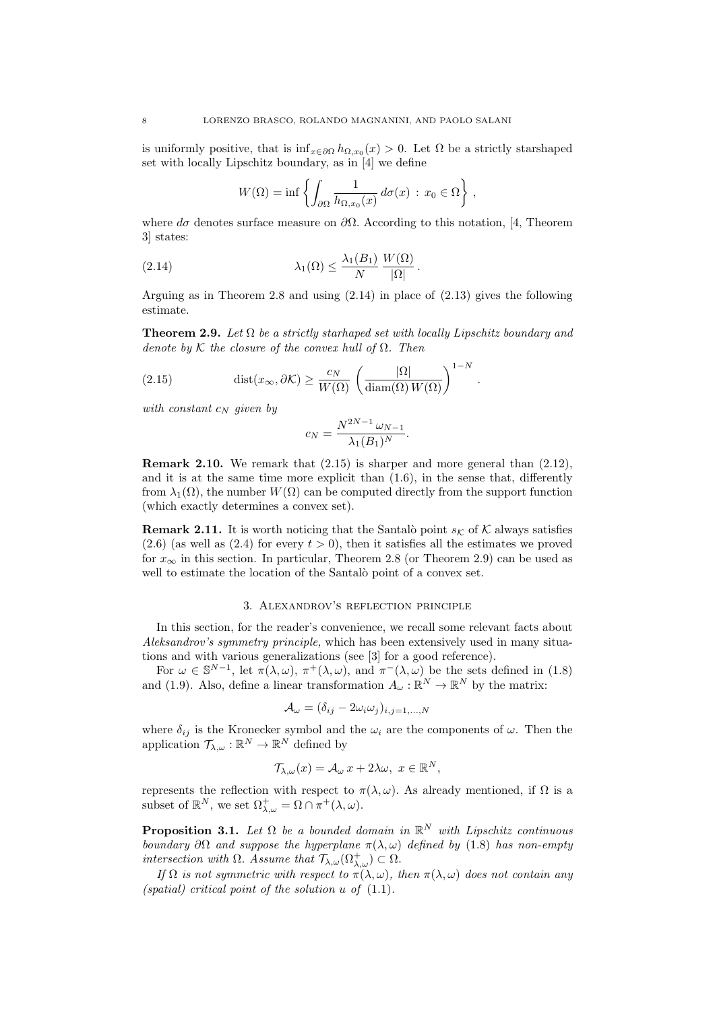is uniformly positive, that is  $\inf_{x \in \partial \Omega} h_{\Omega, x_0}(x) > 0$ . Let  $\Omega$  be a strictly starshaped set with locally Lipschitz boundary, as in [4] we define

$$
W(\Omega) = \inf \left\{ \int_{\partial \Omega} \frac{1}{h_{\Omega, x_0}(x)} d\sigma(x) : x_0 \in \Omega \right\},\,
$$

where  $d\sigma$  denotes surface measure on  $\partial\Omega$ . According to this notation, [4, Theorem 3] states:

(2.14) 
$$
\lambda_1(\Omega) \leq \frac{\lambda_1(B_1)}{N} \frac{W(\Omega)}{|\Omega|}.
$$

Arguing as in Theorem 2.8 and using (2.14) in place of (2.13) gives the following estimate.

**Theorem 2.9.** Let  $\Omega$  be a strictly starhaped set with locally Lipschitz boundary and denote by K the closure of the convex hull of  $\Omega$ . Then

.

(2.15) 
$$
\text{dist}(x_{\infty}, \partial \mathcal{K}) \ge \frac{c_N}{W(\Omega)} \left( \frac{|\Omega|}{\text{diam}(\Omega) W(\Omega)} \right)^{1-N}
$$

with constant  $c_N$  given by

$$
c_N = \frac{N^{2N-1}\omega_{N-1}}{\lambda_1(B_1)^N}.
$$

Remark 2.10. We remark that (2.15) is sharper and more general than (2.12), and it is at the same time more explicit than  $(1.6)$ , in the sense that, differently from  $\lambda_1(\Omega)$ , the number  $W(\Omega)$  can be computed directly from the support function (which exactly determines a convex set).

**Remark 2.11.** It is worth noticing that the Santalò point  $s_K$  of K always satisfies  $(2.6)$  (as well as  $(2.4)$  for every  $t > 0$ ), then it satisfies all the estimates we proved for  $x_{\infty}$  in this section. In particular, Theorem 2.8 (or Theorem 2.9) can be used as well to estimate the location of the Santalò point of a convex set.

### 3. Alexandrov's reflection principle

In this section, for the reader's convenience, we recall some relevant facts about Aleksandrov's symmetry principle, which has been extensively used in many situations and with various generalizations (see [3] for a good reference).

For  $\omega \in \mathbb{S}^{N-1}$ , let  $\pi(\lambda, \omega)$ ,  $\pi^+(\lambda, \omega)$ , and  $\pi^-(\lambda, \omega)$  be the sets defined in (1.8) and (1.9). Also, define a linear transformation  $A_{\omega}: \mathbb{R}^N \to \mathbb{R}^N$  by the matrix:

$$
\mathcal{A}_{\omega} = (\delta_{ij} - 2\omega_i \omega_j)_{i,j=1,\dots,N}
$$

where  $\delta_{ij}$  is the Kronecker symbol and the  $\omega_i$  are the components of  $\omega$ . Then the application  $\mathcal{T}_{\lambda,\omega}: \mathbb{R}^N \to \mathbb{R}^N$  defined by

$$
\mathcal{T}_{\lambda,\omega}(x) = \mathcal{A}_{\omega} x + 2\lambda \omega, \ x \in \mathbb{R}^N,
$$

represents the reflection with respect to  $\pi(\lambda, \omega)$ . As already mentioned, if  $\Omega$  is a subset of  $\mathbb{R}^N$ , we set  $\Omega^+_{\lambda,\omega} = \Omega \cap \pi^+(\lambda,\omega)$ .

**Proposition 3.1.** Let  $\Omega$  be a bounded domain in  $\mathbb{R}^N$  with Lipschitz continuous boundary  $\partial\Omega$  and suppose the hyperplane  $\pi(\lambda,\omega)$  defined by (1.8) has non-empty intersection with  $\Omega$ . Assume that  $\mathcal{T}_{\lambda,\omega}(\Omega_{\lambda,\omega}^+) \subset \Omega$ .

If  $\Omega$  is not symmetric with respect to  $\pi(\lambda,\omega)$ , then  $\pi(\lambda,\omega)$  does not contain any (spatial) critical point of the solution  $u$  of  $(1.1)$ .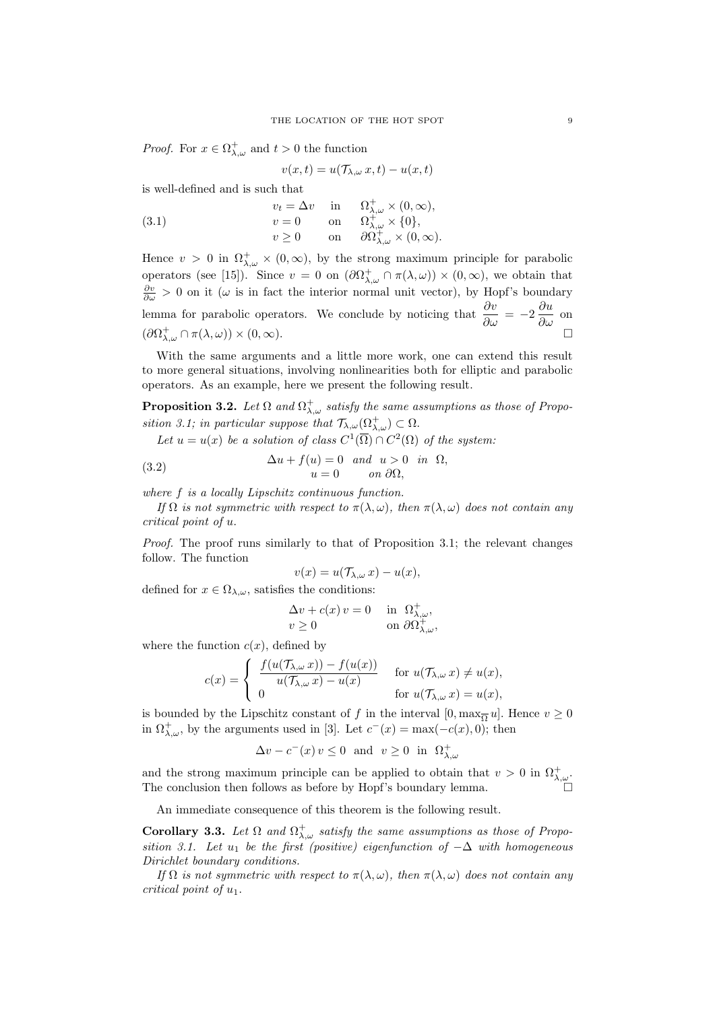*Proof.* For  $x \in \Omega_{\lambda,\omega}^+$  and  $t > 0$  the function

$$
v(x,t) = u(\mathcal{T}_{\lambda,\omega} x,t) - u(x,t)
$$

is well-defined and is such that

(3.1) 
$$
v_t = \Delta v \quad \text{in} \quad \Omega^+_{\lambda,\omega} \times (0,\infty), \n v = 0 \quad \text{on} \quad \Omega^+_{\lambda,\omega} \times \{0\}, \n v \ge 0 \quad \text{on} \quad \partial\Omega^+_{\lambda,\omega} \times (0,\infty).
$$

Hence  $v > 0$  in  $\Omega_{\lambda,\omega}^+ \times (0,\infty)$ , by the strong maximum principle for parabolic operators (see [15]). Since  $v = 0$  on  $(\partial \Omega_{\lambda,\omega}^+ \cap \pi(\lambda,\omega)) \times (0,\infty)$ , we obtain that  $\frac{\partial v}{\partial \omega} > 0$  on it ( $\omega$  is in fact the interior normal unit vector), by Hopf's boundary lemma for parabolic operators. We conclude by noticing that  $\frac{\partial v}{\partial \omega} = -2 \frac{\partial u}{\partial \omega}$  on  $(\partial \Omega^+_{\lambda,\omega} \cap \pi(\lambda,\omega)) \times (0,\infty).$ 

With the same arguments and a little more work, one can extend this result to more general situations, involving nonlinearities both for elliptic and parabolic operators. As an example, here we present the following result.

**Proposition 3.2.** Let  $\Omega$  and  $\Omega_{\lambda,\omega}^+$  satisfy the same assumptions as those of Proposition 3.1; in particular suppose that  $\mathcal{T}_{\lambda,\omega}(\Omega_{\lambda,\omega}^+) \subset \Omega$ .

Let  $u = u(x)$  be a solution of class  $C^1(\overline{\Omega}) \cap C^2(\Omega)$  of the system.

(3.2) 
$$
\Delta u + f(u) = 0 \text{ and } u > 0 \text{ in } \Omega,
$$

$$
u = 0 \text{ on } \partial\Omega,
$$

where f is a locally Lipschitz continuous function.

If  $\Omega$  is not symmetric with respect to  $\pi(\lambda, \omega)$ , then  $\pi(\lambda, \omega)$  does not contain any critical point of u.

Proof. The proof runs similarly to that of Proposition 3.1; the relevant changes follow. The function

$$
v(x) = u(\mathcal{T}_{\lambda,\omega} x) - u(x),
$$

defined for  $x \in \Omega_{\lambda,\omega}$ , satisfies the conditions:

$$
\Delta v + c(x) v = 0 \quad \text{in} \ \Omega^+_{\lambda,\omega},
$$
  
 
$$
v \ge 0 \quad \text{on} \ \partial\Omega^+_{\lambda,\omega},
$$

where the function  $c(x)$ , defined by

$$
c(x) = \begin{cases} \frac{f(u(\mathcal{T}_{\lambda,\omega} x)) - f(u(x))}{u(\mathcal{T}_{\lambda,\omega} x) - u(x)} & \text{for } u(\mathcal{T}_{\lambda,\omega} x) \neq u(x), \\ 0 & \text{for } u(\mathcal{T}_{\lambda,\omega} x) = u(x), \end{cases}
$$

is bounded by the Lipschitz constant of f in the interval  $[0, \max_{\overline{\Omega}} u]$ . Hence  $v \ge 0$ in  $\Omega^+_{\lambda,\omega}$ , by the arguments used in [3]. Let  $c^-(x) = \max(-c(x), 0)$ ; then

$$
\Delta v - c^{-}(x) v \le 0 \text{ and } v \ge 0 \text{ in } \Omega^{+}_{\lambda,\omega}
$$

and the strong maximum principle can be applied to obtain that  $v > 0$  in  $\Omega_{\lambda,\omega}^+$ . The conclusion then follows as before by Hopf's boundary lemma.

An immediate consequence of this theorem is the following result.

Corollary 3.3. Let  $\Omega$  and  $\Omega_{\lambda,\omega}^{+}$  satisfy the same assumptions as those of Proposition 3.1. Let  $u_1$  be the first (positive) eigenfunction of  $-\Delta$  with homogeneous Dirichlet boundary conditions.

If  $\Omega$  is not symmetric with respect to  $\pi(\lambda,\omega)$ , then  $\pi(\lambda,\omega)$  does not contain any critical point of  $u_1$ .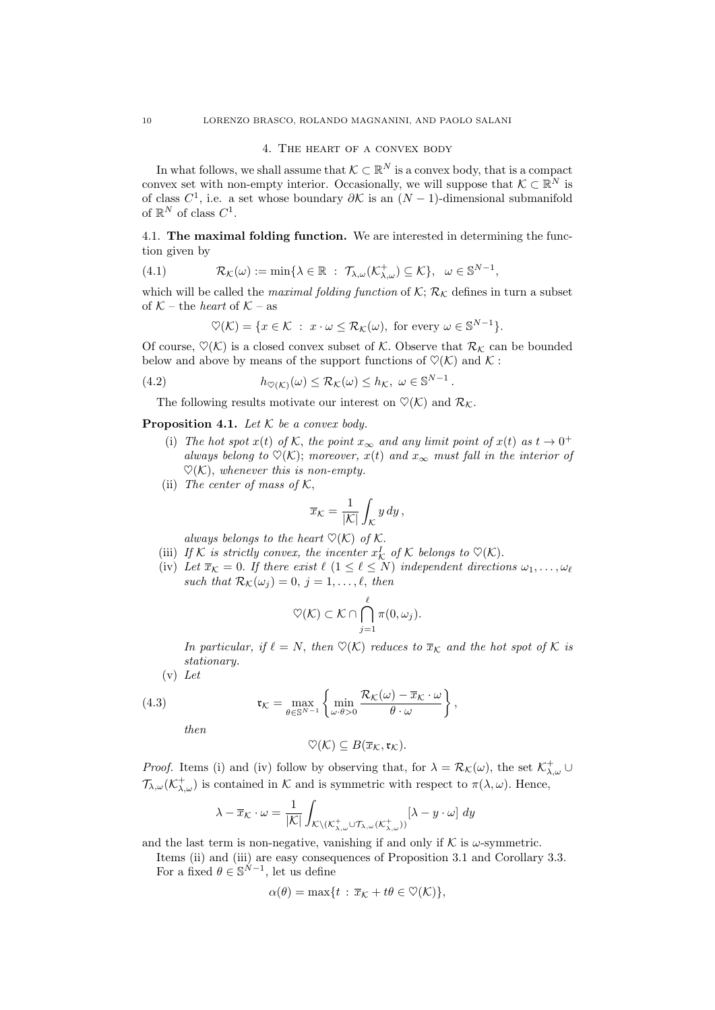## 4. The heart of a convex body

In what follows, we shall assume that  $\mathcal{K} \subset \mathbb{R}^N$  is a convex body, that is a compact convex set with non-empty interior. Occasionally, we will suppose that  $\mathcal{K} \subset \mathbb{R}^N$  is of class  $C^1$ , i.e. a set whose boundary  $\partial K$  is an  $(N-1)$ -dimensional submanifold of  $\mathbb{R}^N$  of class  $C^1$ .

4.1. The maximal folding function. We are interested in determining the function given by

(4.1) 
$$
\mathcal{R}_{\mathcal{K}}(\omega) := \min \{ \lambda \in \mathbb{R} : \mathcal{T}_{\lambda,\omega}(\mathcal{K}_{\lambda,\omega}^+) \subseteq \mathcal{K} \}, \ \omega \in \mathbb{S}^{N-1},
$$

which will be called the *maximal folding function* of  $\mathcal{K}; \mathcal{R}_{\mathcal{K}}$  defines in turn a subset of  $K$  – the *heart* of  $K$  – as

$$
\heartsuit(\mathcal{K}) = \{x \in \mathcal{K} \; : \; x \cdot \omega \leq \mathcal{R}_{\mathcal{K}}(\omega), \text{ for every } \omega \in \mathbb{S}^{N-1}\}.
$$

Of course,  $\heartsuit(\mathcal{K})$  is a closed convex subset of  $\mathcal{K}$ . Observe that  $\mathcal{R}_{\mathcal{K}}$  can be bounded below and above by means of the support functions of  $\mathcal{O}(\mathcal{K})$  and  $\mathcal{K}$ :

(4.2) 
$$
h_{\heartsuit(\mathcal{K})}(\omega) \leq \mathcal{R}_{\mathcal{K}}(\omega) \leq h_{\mathcal{K}}, \ \omega \in \mathbb{S}^{N-1}.
$$

The following results motivate our interest on  $\mathcal{O}(\mathcal{K})$  and  $\mathcal{R}_{\mathcal{K}}$ .

**Proposition 4.1.** Let  $K$  be a convex body.

- (i) The hot spot  $x(t)$  of K, the point  $x_{\infty}$  and any limit point of  $x(t)$  as  $t \to 0^+$ always belong to  $\mathcal{O}(\mathcal{K})$ ; moreover,  $x(t)$  and  $x_{\infty}$  must fall in the interior of  $\heartsuit(\mathcal{K})$ , whenever this is non-empty.
- (ii) The center of mass of  $K$ ,

$$
\overline{x}_{\mathcal{K}} = \frac{1}{|\mathcal{K}|} \int_{\mathcal{K}} y \, dy \,,
$$

always belongs to the heart  $\heartsuit(\mathcal{K})$  of  $\mathcal{K}$ .

- (iii) If K is strictly convex, the incenter  $x_K^I$  of K belongs to  $\heartsuit(\mathcal{K})$ .
- (iv) Let  $\bar{x}_\mathcal{K} = 0$ . If there exist  $\ell$   $(1 \leq \ell \leq N)$  independent directions  $\omega_1, \ldots, \omega_\ell$ such that  $\mathcal{R}_{\mathcal{K}}(\omega_j) = 0, j = 1, \ldots, \ell, \text{ then}$

$$
\heartsuit(\mathcal{K}) \subset \mathcal{K} \cap \bigcap_{j=1}^{\ell} \pi(0,\omega_j).
$$

In particular, if  $\ell = N$ , then  $\mathcal{O}(\mathcal{K})$  reduces to  $\bar{x}_{\mathcal{K}}$  and the hot spot of  $\mathcal{K}$  is stationary.

 $(v)$  Let

(4.3) 
$$
\mathfrak{r}_{\mathcal{K}} = \max_{\theta \in \mathbb{S}^{N-1}} \left\{ \min_{\omega \cdot \theta > 0} \frac{\mathcal{R}_{\mathcal{K}}(\omega) - \overline{x}_{\mathcal{K}} \cdot \omega}{\theta \cdot \omega} \right\},
$$

then

$$
\heartsuit(\mathcal{K})\subseteq B(\overline{x}_{\mathcal{K}},\mathfrak{r}_{\mathcal{K}}).
$$

*Proof.* Items (i) and (iv) follow by observing that, for  $\lambda = \mathcal{R}_{\mathcal{K}}(\omega)$ , the set  $\mathcal{K}_{\lambda,\omega}^+ \cup$  $\mathcal{T}_{\lambda,\omega}(\mathcal{K}^+_{\lambda,\omega})$  is contained in  $\mathcal K$  and is symmetric with respect to  $\pi(\lambda,\omega)$ . Hence,

$$
\lambda - \overline{x}_{\mathcal{K}} \cdot \omega = \frac{1}{|\mathcal{K}|} \int_{\mathcal{K} \setminus (\mathcal{K}_{\lambda,\omega}^+ \cup \mathcal{T}_{\lambda,\omega}(\mathcal{K}_{\lambda,\omega}^+))} [\lambda - y \cdot \omega] dy
$$

and the last term is non-negative, vanishing if and only if  $K$  is  $\omega$ -symmetric.

Items (ii) and (iii) are easy consequences of Proposition 3.1 and Corollary 3.3. For a fixed  $\theta \in \mathbb{S}^{N-1}$ , let us define

$$
\alpha(\theta) = \max\{t : \overline{x}_{\mathcal{K}} + t\theta \in \mathcal{O}(\mathcal{K})\},\
$$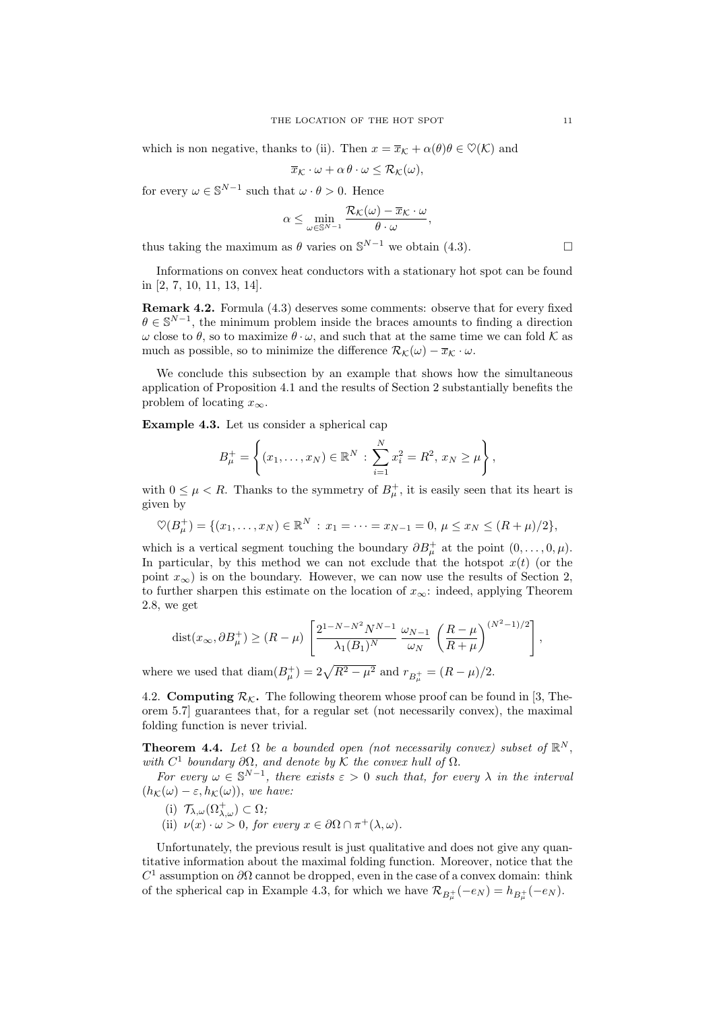which is non negative, thanks to (ii). Then  $x = \bar{x}_{\mathcal{K}} + \alpha(\theta)\theta \in \mathcal{O}(\mathcal{K})$  and

$$
\overline{x}_{\mathcal{K}} \cdot \omega + \alpha \theta \cdot \omega \leq \mathcal{R}_{\mathcal{K}}(\omega),
$$

for every  $\omega \in \mathbb{S}^{N-1}$  such that  $\omega \cdot \theta > 0$ . Hence

$$
\alpha \leq \min_{\omega \in \mathbb{S}^{N-1}} \frac{\mathcal{R}_{\mathcal{K}}(\omega) - \overline{x}_{\mathcal{K}} \cdot \omega}{\theta \cdot \omega},
$$

thus taking the maximum as  $\theta$  varies on  $\mathbb{S}^{N-1}$  we obtain (4.3).

Informations on convex heat conductors with a stationary hot spot can be found in [2, 7, 10, 11, 13, 14].

Remark 4.2. Formula (4.3) deserves some comments: observe that for every fixed  $\theta \in \mathbb{S}^{N-1}$ , the minimum problem inside the braces amounts to finding a direction  $ω$  close to  $θ$ , so to maximize  $θ · ω$ , and such that at the same time we can fold K as much as possible, so to minimize the difference  $\mathcal{R}_{\mathcal{K}}(\omega) - \overline{x}_{\mathcal{K}} \cdot \omega$ .

We conclude this subsection by an example that shows how the simultaneous application of Proposition 4.1 and the results of Section 2 substantially benefits the problem of locating  $x_{\infty}$ .

Example 4.3. Let us consider a spherical cap

$$
B_{\mu}^{+} = \left\{ (x_1, \ldots, x_N) \in \mathbb{R}^N : \sum_{i=1}^{N} x_i^2 = R^2, x_N \ge \mu \right\},\,
$$

with  $0 \leq \mu < R$ . Thanks to the symmetry of  $B^+_{\mu}$ , it is easily seen that its heart is given by

$$
\heartsuit(B_{\mu}^+) = \{ (x_1, \ldots, x_N) \in \mathbb{R}^N : x_1 = \cdots = x_{N-1} = 0, \, \mu \le x_N \le (R + \mu)/2 \},
$$

which is a vertical segment touching the boundary  $\partial B^+_\mu$  at the point  $(0,\ldots,0,\mu)$ . In particular, by this method we can not exclude that the hotspot  $x(t)$  (or the point  $x_{\infty}$ ) is on the boundary. However, we can now use the results of Section 2, to further sharpen this estimate on the location of  $x_{\infty}$ : indeed, applying Theorem 2.8, we get

dist
$$
(x_{\infty}, \partial B_{\mu}^{+}) \ge (R - \mu) \left[ \frac{2^{1 - N - N^{2}} N^{N - 1}}{\lambda_{1} (B_{1})^{N}} \frac{\omega_{N - 1}}{\omega_{N}} \left( \frac{R - \mu}{R + \mu} \right)^{(N^{2} - 1)/2} \right],
$$

where we used that  $\text{diam}(B_{\mu}^+) = 2\sqrt{R^2 - \mu^2}$  and  $r_{B_{\mu}^+} = (R - \mu)/2$ .

4.2. **Computing**  $\mathcal{R}_{\mathcal{K}}$ . The following theorem whose proof can be found in [3, Theorem 5.7] guarantees that, for a regular set (not necessarily convex), the maximal folding function is never trivial.

**Theorem 4.4.** Let  $\Omega$  be a bounded open (not necessarily convex) subset of  $\mathbb{R}^N$ , with  $C^1$  boundary  $\partial\Omega$ , and denote by K the convex hull of  $\Omega$ .

For every  $\omega \in \mathbb{S}^{N-1}$ , there exists  $\varepsilon > 0$  such that, for every  $\lambda$  in the interval  $(h_{\mathcal{K}}(\omega) - \varepsilon, h_{\mathcal{K}}(\omega))$ , we have:

- (i)  $\mathcal{T}_{\lambda,\omega}(\Omega_{\lambda,\omega}^+) \subset \Omega$ ;
- (ii)  $\nu(x) \cdot \omega > 0$ , for every  $x \in \partial \Omega \cap \pi^+(\lambda, \omega)$ .

Unfortunately, the previous result is just qualitative and does not give any quantitative information about the maximal folding function. Moreover, notice that the  $C<sup>1</sup>$  assumption on  $\partial\Omega$  cannot be dropped, even in the case of a convex domain: think of the spherical cap in Example 4.3, for which we have  $\mathcal{R}_{B_\mu^+}(-e_N) = h_{B_\mu^+}(-e_N)$ .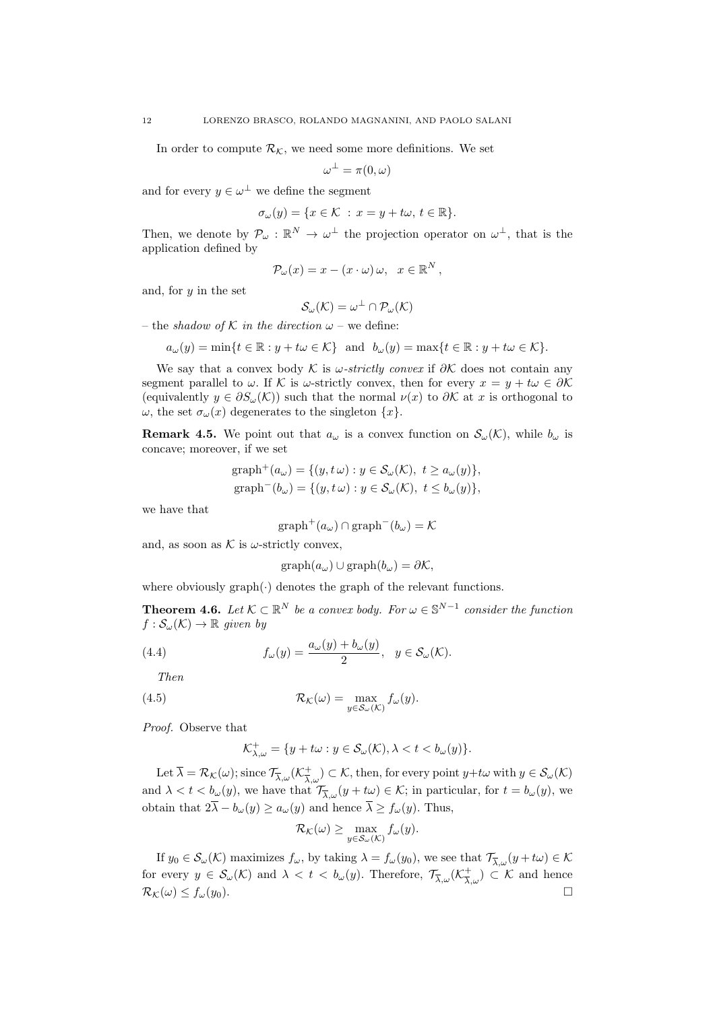In order to compute  $\mathcal{R}_{\mathcal{K}}$ , we need some more definitions. We set

$$
\omega^{\perp}=\pi(0,\omega)
$$

and for every  $y \in \omega^{\perp}$  we define the segment

$$
\sigma_{\omega}(y) = \{ x \in \mathcal{K} \ : \ x = y + t\omega, \ t \in \mathbb{R} \}.
$$

Then, we denote by  $\mathcal{P}_{\omega}: \mathbb{R}^N \to \omega^{\perp}$  the projection operator on  $\omega^{\perp}$ , that is the application defined by

$$
\mathcal{P}_{\omega}(x) = x - (x \cdot \omega) \omega, \quad x \in \mathbb{R}^N,
$$

and, for  $y$  in the set

$$
\mathcal{S}_{\omega}(\mathcal{K})=\omega^{\perp}\cap\mathcal{P}_{\omega}(\mathcal{K})
$$

– the shadow of K in the direction  $\omega$  – we define:

$$
a_{\omega}(y) = \min\{t \in \mathbb{R} : y + t\omega \in \mathcal{K}\} \text{ and } b_{\omega}(y) = \max\{t \in \mathbb{R} : y + t\omega \in \mathcal{K}\}.
$$

We say that a convex body K is  $\omega$ -strictly convex if  $\partial K$  does not contain any segment parallel to  $\omega$ . If K is  $\omega$ -strictly convex, then for every  $x = y + t\omega \in \partial \mathcal{K}$ (equivalently  $y \in \partial S_{\omega}(\mathcal{K})$ ) such that the normal  $\nu(x)$  to  $\partial \mathcal{K}$  at x is orthogonal to  $\omega$ , the set  $\sigma_{\omega}(x)$  degenerates to the singleton  $\{x\}$ .

**Remark 4.5.** We point out that  $a_{\omega}$  is a convex function on  $\mathcal{S}_{\omega}(\mathcal{K})$ , while  $b_{\omega}$  is concave; moreover, if we set

$$
\text{graph}^+(a_\omega) = \{(y, t\,\omega) : y \in \mathcal{S}_\omega(\mathcal{K}), \ t \ge a_\omega(y)\},
$$
  

$$
\text{graph}^-(b_\omega) = \{(y, t\,\omega) : y \in \mathcal{S}_\omega(\mathcal{K}), \ t \le b_\omega(y)\},
$$

we have that

$$
\mathrm{graph}^+(a_\omega) \cap \mathrm{graph}^-(b_\omega) = \mathcal{K}
$$

and, as soon as  $K$  is  $\omega$ -strictly convex,

$$
graph(a_{\omega}) \cup graph(b_{\omega}) = \partial \mathcal{K},
$$

where obviously  $graph(\cdot)$  denotes the graph of the relevant functions.

**Theorem 4.6.** Let  $K \subset \mathbb{R}^N$  be a convex body. For  $\omega \in \mathbb{S}^{N-1}$  consider the function  $f : \mathcal{S}_{\omega}(\mathcal{K}) \rightarrow \mathbb{R}$  given by

(4.4) 
$$
f_{\omega}(y) = \frac{a_{\omega}(y) + b_{\omega}(y)}{2}, \quad y \in \mathcal{S}_{\omega}(\mathcal{K}).
$$

Then

(4.5) 
$$
\mathcal{R}_{\mathcal{K}}(\omega) = \max_{y \in \mathcal{S}_{\omega}(\mathcal{K})} f_{\omega}(y).
$$

Proof. Observe that

$$
\mathcal{K}^+_{\lambda,\omega} = \{ y + t\omega : y \in \mathcal{S}_\omega(\mathcal{K}), \lambda < t < b_\omega(y) \}.
$$

Let  $\overline{\lambda} = \mathcal{R}_{\mathcal{K}}(\omega)$ ; since  $\mathcal{T}_{\overline{\lambda}, \omega}(\mathcal{K}_{\overline{\lambda}, \omega}^+) \subset \mathcal{K}$ , then, for every point  $y + t\omega$  with  $y \in \mathcal{S}_{\omega}(\mathcal{K})$ and  $\lambda < t < b_{\omega}(y)$ , we have that  $\mathcal{T}_{\overline{\lambda}, \omega}(y + t\omega) \in \mathcal{K}$ ; in particular, for  $t = b_{\omega}(y)$ , we obtain that  $2\overline{\lambda} - b_{\omega}(y) > a_{\omega}(y)$  and hence  $\overline{\lambda} > f_{\omega}(y)$ . Thus,

$$
\mathcal{R}_{\mathcal{K}}(\omega) \ge \max_{y \in \mathcal{S}_{\omega}(\mathcal{K})} f_{\omega}(y).
$$

If  $y_0 \in \mathcal{S}_{\omega}(\mathcal{K})$  maximizes  $f_{\omega}$ , by taking  $\lambda = f_{\omega}(y_0)$ , we see that  $\mathcal{T}_{\overline{\lambda}, \omega}(y + t\omega) \in \mathcal{K}$ for every  $y \in \mathcal{S}_{\omega}(\mathcal{K})$  and  $\lambda < t < b_{\omega}(y)$ . Therefore,  $\mathcal{T}_{\overline{\lambda},\omega}(\mathcal{K}_{\overline{\lambda},\omega}^+) \subset \mathcal{K}$  and hence  $\mathcal{R}_{\mathcal{K}}(\omega) \leq f_{\omega}(y_0).$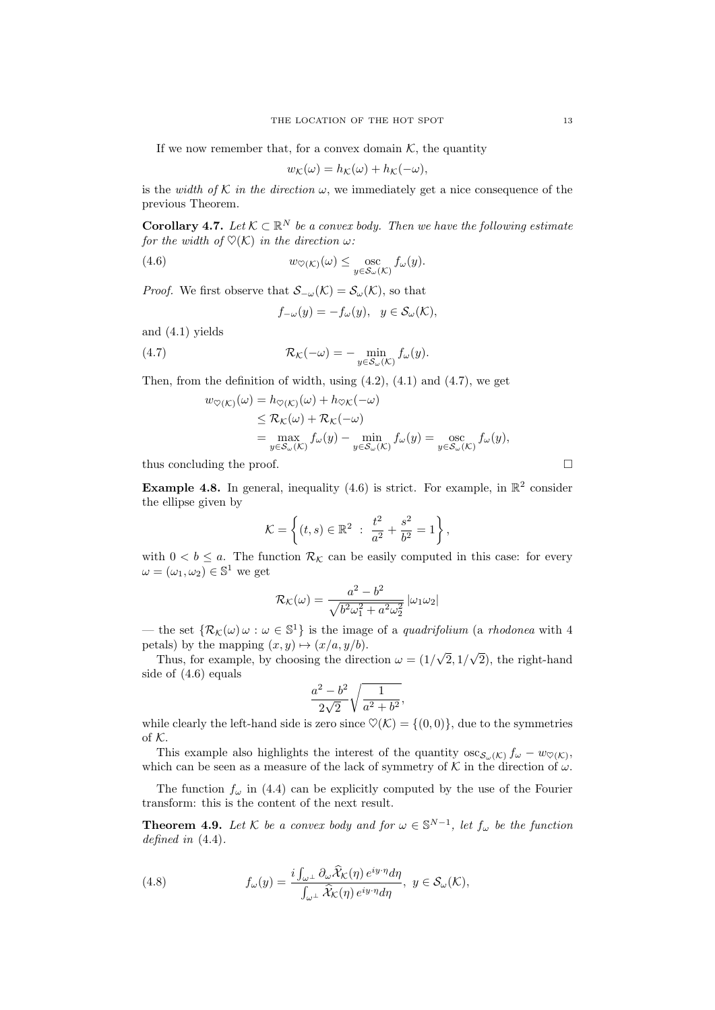If we now remember that, for a convex domain  $K$ , the quantity

$$
w_{\mathcal{K}}(\omega) = h_{\mathcal{K}}(\omega) + h_{\mathcal{K}}(-\omega),
$$

is the width of K in the direction  $\omega$ , we immediately get a nice consequence of the previous Theorem.

**Corollary 4.7.** Let  $K \subset \mathbb{R}^N$  be a convex body. Then we have the following estimate for the width of  $\mathcal{O}(\mathcal{K})$  in the direction  $\omega$ :

(4.6) 
$$
w_{\heartsuit(\mathcal{K})}(\omega) \leq \operatorname*{osc}_{y \in \mathcal{S}_{\omega}(\mathcal{K})} f_{\omega}(y).
$$

*Proof.* We first observe that  $\mathcal{S}_{-\omega}(\mathcal{K}) = \mathcal{S}_{\omega}(\mathcal{K})$ , so that

 $f_{-\omega}(y) = -f_{\omega}(y), \ \ y \in \mathcal{S}_{\omega}(\mathcal{K}),$ 

and (4.1) yields

(4.7) 
$$
\mathcal{R}_{\mathcal{K}}(-\omega) = -\min_{y \in \mathcal{S}_{\omega}(\mathcal{K})} f_{\omega}(y).
$$

Then, from the definition of width, using  $(4.2)$ ,  $(4.1)$  and  $(4.7)$ , we get

$$
w_{\heartsuit(K)}(\omega) = h_{\heartsuit(K)}(\omega) + h_{\heartsuit(K)}(-\omega)
$$
  
\n
$$
\leq \mathcal{R}_{K}(\omega) + \mathcal{R}_{K}(-\omega)
$$
  
\n
$$
= \max_{y \in S_{\omega}(K)} f_{\omega}(y) - \min_{y \in S_{\omega}(K)} f_{\omega}(y) = \max_{y \in S_{\omega}(K)} f_{\omega}(y),
$$

thus concluding the proof.  $\Box$ 

**Example 4.8.** In general, inequality (4.6) is strict. For example, in  $\mathbb{R}^2$  consider the ellipse given by

$$
\mathcal{K} = \left\{ (t,s) \in \mathbb{R}^2 \; : \; \frac{t^2}{a^2} + \frac{s^2}{b^2} = 1 \right\},\,
$$

with  $0 < b \le a$ . The function  $\mathcal{R}_{\mathcal{K}}$  can be easily computed in this case: for every  $\omega = (\omega_1, \omega_2) \in \mathbb{S}^1$  we get

$$
\mathcal{R}_{\mathcal{K}}(\omega) = \frac{a^2 - b^2}{\sqrt{b^2 \omega_1^2 + a^2 \omega_2^2}} |\omega_1 \omega_2|
$$

— the set  $\{\mathcal{R}_{\mathcal{K}}(\omega)\omega:\omega\in\mathbb{S}^1\}$  is the image of a *quadrifolium* (a *rhodonea* with 4 petals) by the mapping  $(x, y) \mapsto (x/a, y/b)$ . √ √

Thus, for example, by choosing the direction  $\omega = (1/$  $2,1/$ 2), the right-hand side of (4.6) equals

$$
\frac{a^2 - b^2}{2\sqrt{2}} \sqrt{\frac{1}{a^2 + b^2}},
$$

while clearly the left-hand side is zero since  $\mathcal{O}(\mathcal{K}) = \{(0,0)\}\text{, due to the symmetries}$ of K.

This example also highlights the interest of the quantity  $\csc_{S_{\omega}(\mathcal{K})} f_{\omega} - w_{\heartsuit(\mathcal{K})},$ which can be seen as a measure of the lack of symmetry of  $K$  in the direction of  $\omega$ .

The function  $f_{\omega}$  in (4.4) can be explicitly computed by the use of the Fourier transform: this is the content of the next result.

**Theorem 4.9.** Let K be a convex body and for  $\omega \in \mathbb{S}^{N-1}$ , let  $f_{\omega}$  be the function defined in  $(4.4)$ .

(4.8) 
$$
f_{\omega}(y) = \frac{i \int_{\omega^{\perp}} \partial_{\omega} \widehat{\mathcal{X}}_{\mathcal{K}}(\eta) e^{iy \cdot \eta} d\eta}{\int_{\omega^{\perp}} \widehat{\mathcal{X}}_{\mathcal{K}}(\eta) e^{iy \cdot \eta} d\eta}, \ y \in \mathcal{S}_{\omega}(\mathcal{K}),
$$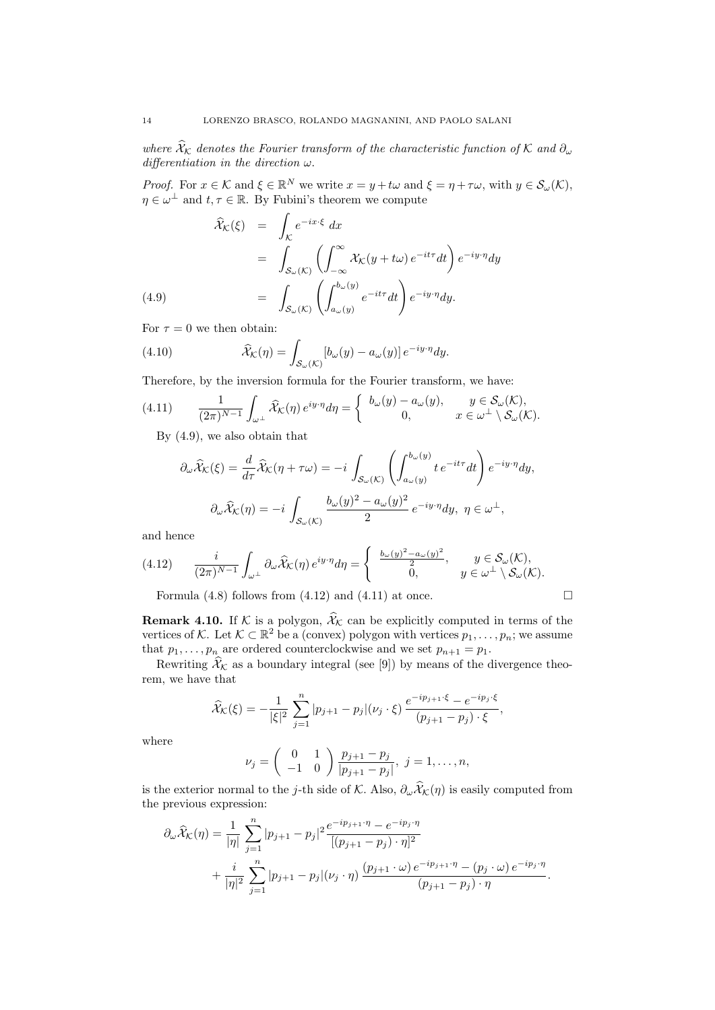where  $\widehat{X}_\mathcal{K}$  denotes the Fourier transform of the characteristic function of K and  $\partial_\omega$ differentiation in the direction  $\omega$ .

*Proof.* For  $x \in \mathcal{K}$  and  $\xi \in \mathbb{R}^N$  we write  $x = y + t\omega$  and  $\xi = \eta + \tau\omega$ , with  $y \in \mathcal{S}_{\omega}(\mathcal{K})$ ,  $\eta \in \omega^{\perp}$  and  $t, \tau \in \mathbb{R}$ . By Fubini's theorem we compute

$$
\hat{\mathcal{X}}_{\mathcal{K}}(\xi) = \int_{\mathcal{K}} e^{-ix\cdot\xi} dx
$$
\n
$$
= \int_{\mathcal{S}_{\omega}(\mathcal{K})} \left( \int_{-\infty}^{\infty} \mathcal{X}_{\mathcal{K}}(y + t\omega) e^{-it\tau} dt \right) e^{-iy\cdot\eta} dy
$$
\n
$$
(4.9) \qquad = \int_{\mathcal{S}_{\omega}(\mathcal{K})} \left( \int_{a_{\omega}(y)}^{b_{\omega}(y)} e^{-it\tau} dt \right) e^{-iy\cdot\eta} dy.
$$

For  $\tau = 0$  we then obtain:

(4.10) 
$$
\widehat{\mathcal{X}}_{\mathcal{K}}(\eta) = \int_{\mathcal{S}_{\omega}(\mathcal{K})} \left[ b_{\omega}(y) - a_{\omega}(y) \right] e^{-iy \cdot \eta} dy.
$$

Therefore, by the inversion formula for the Fourier transform, we have:

$$
(4.11) \qquad \frac{1}{(2\pi)^{N-1}}\int_{\omega^{\perp}}\widehat{\mathcal{X}}_{\mathcal{K}}(\eta)\,e^{iy\cdot\eta}d\eta=\begin{cases}b_{\omega}(y)-a_{\omega}(y), & y\in\mathcal{S}_{\omega}(\mathcal{K}),\\0, & x\in\omega^{\perp}\setminus\mathcal{S}_{\omega}(\mathcal{K}).\end{cases}
$$

By (4.9), we also obtain that

$$
\partial_{\omega}\widehat{\mathcal{X}}_{\mathcal{K}}(\xi) = \frac{d}{d\tau}\widehat{\mathcal{X}}_{\mathcal{K}}(\eta + \tau\omega) = -i \int_{\mathcal{S}_{\omega}(\mathcal{K})} \left( \int_{a_{\omega}(y)}^{b_{\omega}(y)} t e^{-it\tau} dt \right) e^{-iy\cdot\eta} dy,
$$

$$
\partial_{\omega}\widehat{\mathcal{X}}_{\mathcal{K}}(\eta) = -i \int_{\mathcal{S}_{\omega}(\mathcal{K})} \frac{b_{\omega}(y)^2 - a_{\omega}(y)^2}{2} e^{-iy\cdot\eta} dy, \ \eta \in \omega^{\perp},
$$

and hence

$$
(4.12) \qquad \frac{i}{(2\pi)^{N-1}}\int_{\omega^\perp} \partial_\omega \widehat{\mathcal{X}}_{\mathcal{K}}(\eta) \, e^{iy\cdot \eta} d\eta = \begin{cases} \frac{b_\omega(y)^2 - a_\omega(y)^2}{2}, & y \in \mathcal{S}_\omega(\mathcal{K}), \\ 0, & y \in \omega^\perp \setminus \mathcal{S}_\omega(\mathcal{K}). \end{cases}
$$

Formula (4.8) follows from (4.12) and (4.11) at once.  $\Box$ 

**Remark 4.10.** If K is a polygon,  $\widehat{\mathcal{X}}_k$  can be explicitly computed in terms of the vertices of K. Let  $\mathcal{K} \subset \mathbb{R}^2$  be a (convex) polygon with vertices  $p_1, \ldots, p_n$ ; we assume that  $p_1, \ldots, p_n$  are ordered counterclockwise and we set  $p_{n+1} = p_1$ .

Rewriting  $\widehat{\mathcal{X}}_k$  as a boundary integral (see [9]) by means of the divergence theorem, we have that

$$
\widehat{\mathcal{X}}_{\mathcal{K}}(\xi) = -\frac{1}{|\xi|^2} \sum_{j=1}^n |p_{j+1} - p_j| (\nu_j \cdot \xi) \, \frac{e^{-ip_{j+1} \cdot \xi} - e^{-ip_j \cdot \xi}}{(p_{j+1} - p_j) \cdot \xi},
$$

where

$$
\nu_j = \begin{pmatrix} 0 & 1 \\ -1 & 0 \end{pmatrix} \frac{p_{j+1} - p_j}{|p_{j+1} - p_j|}, \ j = 1, \dots, n,
$$

is the exterior normal to the j-th side of K. Also,  $\partial_\omega \hat{X}_\mathcal{K}(\eta)$  is easily computed from the previous expression:

$$
\partial_{\omega} \widehat{X}_{\mathcal{K}}(\eta) = \frac{1}{|\eta|} \sum_{j=1}^{n} |p_{j+1} - p_j|^2 \frac{e^{-ip_{j+1} \cdot \eta} - e^{-ip_j \cdot \eta}}{[(p_{j+1} - p_j) \cdot \eta]^2} + \frac{i}{|\eta|^2} \sum_{j=1}^{n} |p_{j+1} - p_j|(\nu_j \cdot \eta) \frac{(p_{j+1} \cdot \omega) e^{-ip_{j+1} \cdot \eta} - (p_j \cdot \omega) e^{-ip_j \cdot \eta}}{(p_{j+1} - p_j) \cdot \eta}.
$$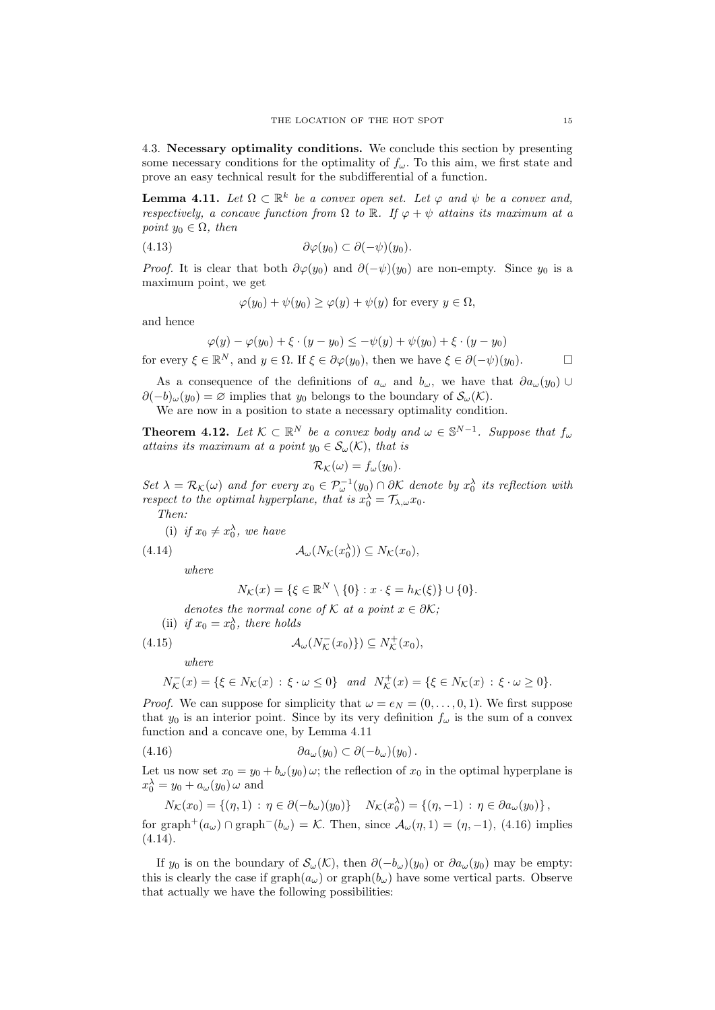4.3. Necessary optimality conditions. We conclude this section by presenting some necessary conditions for the optimality of  $f_{\omega}$ . To this aim, we first state and prove an easy technical result for the subdifferential of a function.

**Lemma 4.11.** Let  $\Omega \subset \mathbb{R}^k$  be a convex open set. Let  $\varphi$  and  $\psi$  be a convex and, respectively, a concave function from  $\Omega$  to  $\mathbb{R}$ . If  $\varphi + \psi$  attains its maximum at a point  $y_0 \in \Omega$ , then

$$
(4.13) \t\t \t\t \partial \varphi(y_0) \subset \partial (-\psi)(y_0).
$$

*Proof.* It is clear that both  $\partial \varphi(y_0)$  and  $\partial (-\psi)(y_0)$  are non-empty. Since  $y_0$  is a maximum point, we get

$$
\varphi(y_0) + \psi(y_0) \ge \varphi(y) + \psi(y) \text{ for every } y \in \Omega,
$$

and hence

$$
\varphi(y) - \varphi(y_0) + \xi \cdot (y - y_0) \le -\psi(y) + \psi(y_0) + \xi \cdot (y - y_0)
$$

for every  $\xi \in \mathbb{R}^N$ , and  $y \in \Omega$ . If  $\xi \in \partial \varphi(y_0)$ , then we have  $\xi \in \partial (-\psi)(y_0)$ .

As a consequence of the definitions of  $a_{\omega}$  and  $b_{\omega}$ , we have that  $\partial a_{\omega}(y_0)$  $\partial(-b)_{\omega}(y_0) = \varnothing$  implies that  $y_0$  belongs to the boundary of  $\mathcal{S}_{\omega}(\mathcal{K})$ .

We are now in a position to state a necessary optimality condition.

**Theorem 4.12.** Let  $K \subset \mathbb{R}^N$  be a convex body and  $\omega \in \mathbb{S}^{N-1}$ . Suppose that  $f_{\omega}$ attains its maximum at a point  $y_0 \in S_\omega(\mathcal{K})$ , that is

$$
\mathcal{R}_{\mathcal{K}}(\omega) = f_{\omega}(y_0).
$$

Set  $\lambda = \mathcal{R}_{\mathcal{K}}(\omega)$  and for every  $x_0 \in \mathcal{P}_{\omega}^{-1}(y_0) \cap \partial \mathcal{K}$  denote by  $x_0^{\lambda}$  its reflection with respect to the optimal hyperplane, that is  $x_0^{\lambda} = \mathcal{T}_{\lambda,\omega} x_0$ .

Then:

(i) if  $x_0 \neq x_0^{\lambda}$ , we have

(4.14) 
$$
\mathcal{A}_{\omega}(N_{\mathcal{K}}(x_0^{\lambda})) \subseteq N_{\mathcal{K}}(x_0),
$$

where

$$
N_{\mathcal{K}}(x) = \{ \xi \in \mathbb{R}^N \setminus \{0\} : x \cdot \xi = h_{\mathcal{K}}(\xi) \} \cup \{0\}.
$$

denotes the normal cone of K at a point  $x \in \partial \mathcal{K}$ ;

(ii) if 
$$
x_0 = x_0^{\lambda}
$$
, there holds

(4.15) 
$$
\mathcal{A}_{\omega}(N_{\mathcal{K}}^{-}(x_0)) \subseteq N_{\mathcal{K}}^{+}(x_0),
$$

where

$$
N_{\mathcal{K}}^-(x)=\{\xi\in N_{\mathcal{K}}(x)\,:\,\xi\cdot\omega\leq 0\}\quad and\quad N_{\mathcal{K}}^+(x)=\{\xi\in N_{\mathcal{K}}(x)\,:\,\xi\cdot\omega\geq 0\}.
$$

*Proof.* We can suppose for simplicity that  $\omega = e_N = (0, \ldots, 0, 1)$ . We first suppose that  $y_0$  is an interior point. Since by its very definition  $f_\omega$  is the sum of a convex function and a concave one, by Lemma 4.11

(4.16) ∂aω(y0) ⊂ ∂(−bω)(y0).

Let us now set  $x_0 = y_0 + b_\omega(y_0) \omega$ ; the reflection of  $x_0$  in the optimal hyperplane is  $x_0^{\lambda} = y_0 + a_{\omega}(y_0) \omega$  and

$$
N_{\mathcal{K}}(x_0) = \{(\eta, 1) : \eta \in \partial(-b_{\omega})(y_0)\} \quad N_{\mathcal{K}}(x_0^{\lambda}) = \{(\eta, -1) : \eta \in \partial a_{\omega}(y_0)\},
$$
  
for graph<sup>+</sup>(a<sub>\omega</sub>)  $\cap$  graph<sup>-</sup>(b<sub>\omega</sub>) =  $\mathcal{K}$ . Then, since  $\mathcal{A}_{\omega}(\eta, 1) = (\eta, -1)$ , (4.16) implies  
(4.14).

If y<sub>0</sub> is on the boundary of  $\mathcal{S}_{\omega}(\mathcal{K})$ , then  $\partial(-b_{\omega})(y_0)$  or  $\partial a_{\omega}(y_0)$  may be empty: this is clearly the case if  $\text{graph}(a_{\omega})$  or  $\text{graph}(b_{\omega})$  have some vertical parts. Observe that actually we have the following possibilities: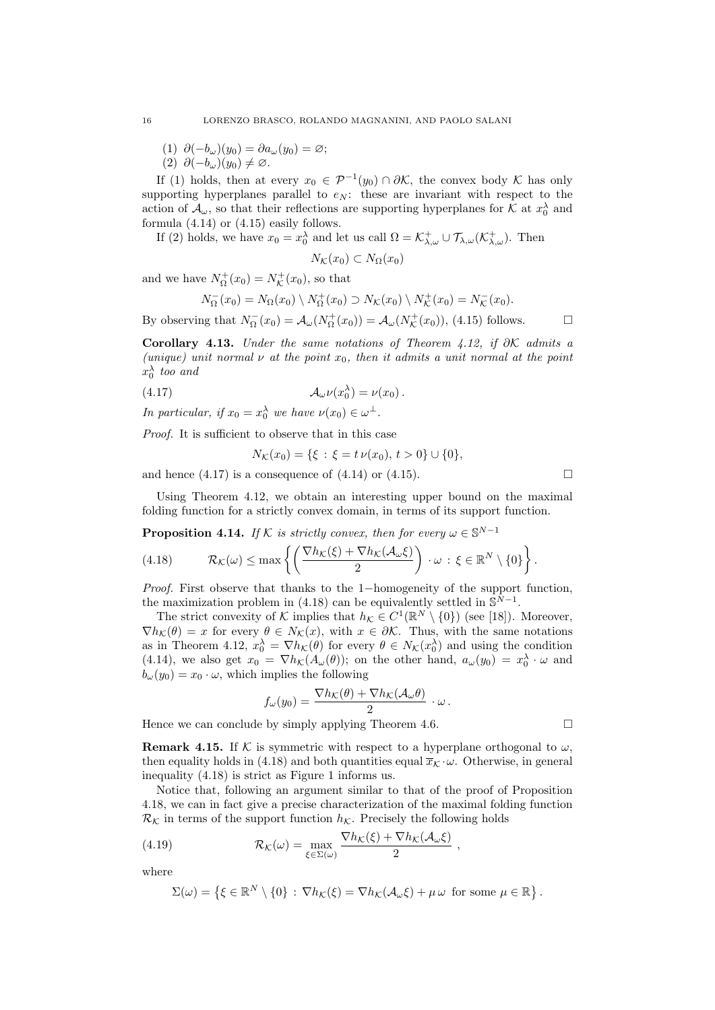- (1)  $\partial(-b_{\omega})(y_0) = \partial a_{\omega}(y_0) = \varnothing;$
- (2)  $\partial(-b_{\omega})(y_0) \neq \emptyset$ .

If (1) holds, then at every  $x_0 \in \mathcal{P}^{-1}(y_0) \cap \partial \mathcal{K}$ , the convex body  $\mathcal K$  has only supporting hyperplanes parallel to  $e_N$ : these are invariant with respect to the action of  $\mathcal{A}_{\omega}$ , so that their reflections are supporting hyperplanes for K at  $x_0^{\lambda}$  and formula (4.14) or (4.15) easily follows.

If (2) holds, we have  $x_0 = x_0^{\lambda}$  and let us call  $\Omega = \mathcal{K}^+_{\lambda,\omega} \cup \mathcal{T}_{\lambda,\omega}(\mathcal{K}^+_{\lambda,\omega}).$  Then

$$
N_{\mathcal{K}}(x_0) \subset N_{\Omega}(x_0)
$$

and we have  $N_{\Omega}^{+}(x_0) = N_{\mathcal{K}}^{+}(x_0)$ , so that

$$
N_{\Omega}^{-}(x_0) = N_{\Omega}(x_0) \setminus N_{\Omega}^{+}(x_0) \supset N_{\mathcal{K}}(x_0) \setminus N_{\mathcal{K}}^{+}(x_0) = N_{\mathcal{K}}^{-}(x_0).
$$

By observing that  $N_{\Omega}^{-}(x_0) = \mathcal{A}_{\omega}(N_{\Omega}^{+}(x_0)) = \mathcal{A}_{\omega}(N_{\mathcal{K}}^{+}(x_0)),$  (4.15) follows.

Corollary 4.13. Under the same notations of Theorem 4.12, if  $\partial \mathcal{K}$  admits a (unique) unit normal  $\nu$  at the point  $x_0$ , then it admits a unit normal at the point  $x_0^{\lambda}$  too and

(4.17) 
$$
\mathcal{A}_{\omega}\nu(x_0^{\lambda}) = \nu(x_0).
$$

In particular, if  $x_0 = x_0^{\lambda}$  we have  $\nu(x_0) \in \omega^{\perp}$ .

Proof. It is sufficient to observe that in this case

$$
N_{\mathcal{K}}(x_0) = \{ \xi \, : \, \xi = t \, \nu(x_0), \, t > 0 \} \cup \{0\},
$$

and hence  $(4.17)$  is a consequence of  $(4.14)$  or  $(4.15)$ .

Using Theorem 4.12, we obtain an interesting upper bound on the maximal folding function for a strictly convex domain, in terms of its support function.

**Proposition 4.14.** If K is strictly convex, then for every  $\omega \in \mathbb{S}^{N-1}$ 

(4.18) 
$$
\mathcal{R}_{\mathcal{K}}(\omega) \leq \max \left\{ \left( \frac{\nabla h_{\mathcal{K}}(\xi) + \nabla h_{\mathcal{K}}(\mathcal{A}_{\omega}\xi)}{2} \right) \cdot \omega \, : \, \xi \in \mathbb{R}^N \setminus \{0\} \right\}.
$$

*Proof.* First observe that thanks to the 1−homogeneity of the support function, the maximization problem in (4.18) can be equivalently settled in  $\mathbb{S}^{N-1}$ .

The strict convexity of K implies that  $h_{\mathcal{K}} \in C^1(\mathbb{R}^N \setminus \{0\})$  (see [18]). Moreover,  $\nabla h_{\mathcal{K}}(\theta) = x$  for every  $\theta \in N_{\mathcal{K}}(x)$ , with  $x \in \partial \mathcal{K}$ . Thus, with the same notations as in Theorem 4.12,  $x_0^{\lambda} = \nabla h_{\mathcal{K}}(\theta)$  for every  $\theta \in N_{\mathcal{K}}(x_0^{\lambda})$  and using the condition (4.14), we also get  $x_0 = \nabla h_{\mathcal{K}}(A_{\omega}(\theta))$ ; on the other hand,  $a_{\omega}(y_0) = x_0^{\lambda} \cdot \omega$  and  $b_{\omega}(y_0) = x_0 \cdot \omega$ , which implies the following

$$
f_{\omega}(y_0) = \frac{\nabla h_{\mathcal{K}}(\theta) + \nabla h_{\mathcal{K}}(\mathcal{A}_{\omega}\theta)}{2} \cdot \omega.
$$

Hence we can conclude by simply applying Theorem 4.6.  $\Box$ 

**Remark 4.15.** If K is symmetric with respect to a hyperplane orthogonal to  $\omega$ , then equality holds in (4.18) and both quantities equal  $\bar{x}_{\mathcal{K}} \cdot \omega$ . Otherwise, in general inequality (4.18) is strict as Figure 1 informs us.

Notice that, following an argument similar to that of the proof of Proposition 4.18, we can in fact give a precise characterization of the maximal folding function  $\mathcal{R}_{\mathcal{K}}$  in terms of the support function  $h_{\mathcal{K}}$ . Precisely the following holds

(4.19) 
$$
\mathcal{R}_{\mathcal{K}}(\omega) = \max_{\xi \in \Sigma(\omega)} \frac{\nabla h_{\mathcal{K}}(\xi) + \nabla h_{\mathcal{K}}(\mathcal{A}_{\omega}\xi)}{2},
$$

where

$$
\Sigma(\omega) = \left\{ \xi \in \mathbb{R}^N \setminus \{0\} : \nabla h_{\mathcal{K}}(\xi) = \nabla h_{\mathcal{K}}(\mathcal{A}_{\omega}\xi) + \mu \omega \text{ for some } \mu \in \mathbb{R} \right\}.
$$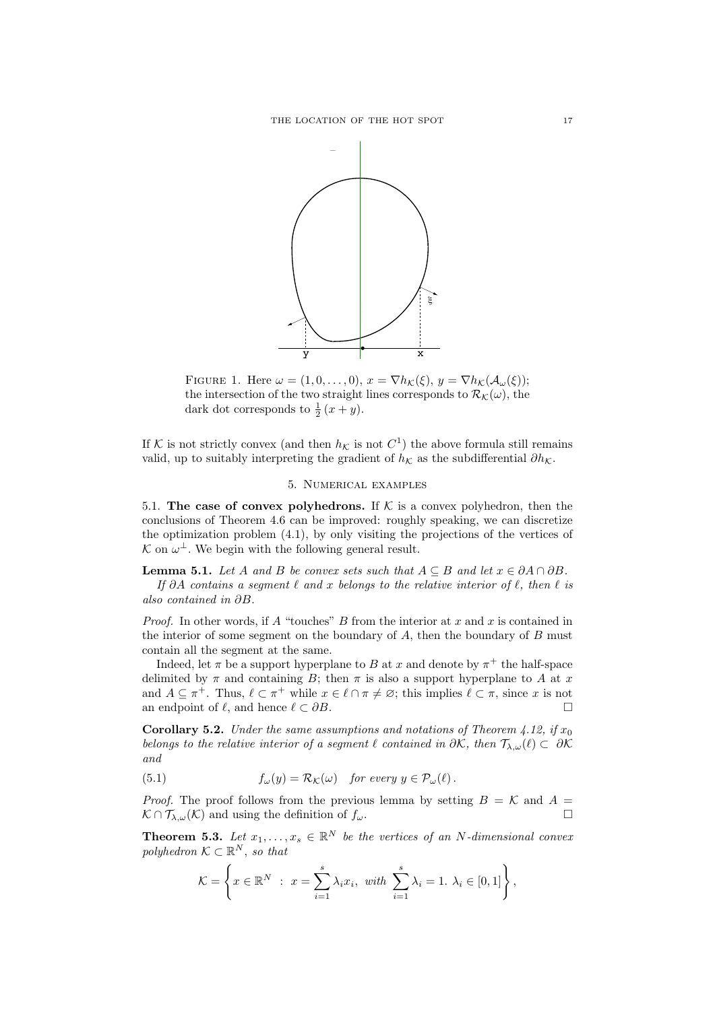

FIGURE 1. Here  $\omega = (1, 0, \ldots, 0), x = \nabla h_{\mathcal{K}}(\xi), y = \nabla h_{\mathcal{K}}(\mathcal{A}_{\omega}(\xi));$ the intersection of the two straight lines corresponds to  $\mathcal{R}_{\mathcal{K}}(\omega)$ , the dark dot corresponds to  $\frac{1}{2}(x+y)$ .

If K is not strictly convex (and then  $h_{\mathcal{K}}$  is not  $C^1$ ) the above formula still remains valid, up to suitably interpreting the gradient of  $h<sub>K</sub>$  as the subdifferential  $\partial h<sub>K</sub>$ .

## 5. Numerical examples

5.1. The case of convex polyhedrons. If  $K$  is a convex polyhedron, then the conclusions of Theorem 4.6 can be improved: roughly speaking, we can discretize the optimization problem (4.1), by only visiting the projections of the vertices of  $\mathcal{K}$  on  $\omega^{\perp}$ . We begin with the following general result.

**Lemma 5.1.** Let A and B be convex sets such that  $A \subseteq B$  and let  $x \in \partial A \cap \partial B$ . If ∂A contains a segment  $\ell$  and x belongs to the relative interior of  $\ell$ , then  $\ell$  is also contained in ∂B.

*Proof.* In other words, if A "touches" B from the interior at x and x is contained in the interior of some segment on the boundary of  $A$ , then the boundary of  $B$  must contain all the segment at the same.

Indeed, let  $\pi$  be a support hyperplane to B at x and denote by  $\pi^+$  the half-space delimited by  $\pi$  and containing B; then  $\pi$  is also a support hyperplane to A at x and  $A \subseteq \pi^+$ . Thus,  $\ell \subset \pi^+$  while  $x \in \ell \cap \pi \neq \emptyset$ ; this implies  $\ell \subset \pi$ , since x is not an endpoint of  $\ell$ , and hence  $\ell \subset \partial B$ .

**Corollary 5.2.** Under the same assumptions and notations of Theorem 4.12, if  $x_0$ belongs to the relative interior of a segment  $\ell$  contained in  $\partial \mathcal{K}$ , then  $\mathcal{T}_{\lambda,\omega}(\ell) \subset \partial \mathcal{K}$ and

(5.1) 
$$
f_{\omega}(y) = \mathcal{R}_{\mathcal{K}}(\omega) \text{ for every } y \in \mathcal{P}_{\omega}(\ell).
$$

*Proof.* The proof follows from the previous lemma by setting  $B = K$  and  $A =$  $\mathcal{K} \cap \mathcal{T}_{\lambda,\omega}(\mathcal{K})$  and using the definition of  $f_{\omega}$ .

**Theorem 5.3.** Let  $x_1, \ldots, x_s \in \mathbb{R}^N$  be the vertices of an N-dimensional convex polyhedron  $\mathcal{K} \subset \mathbb{R}^N$ , so that

$$
\mathcal{K} = \left\{ x \in \mathbb{R}^N \; : \; x = \sum_{i=1}^s \lambda_i x_i, \; with \; \sum_{i=1}^s \lambda_i = 1. \; \lambda_i \in [0,1] \right\},
$$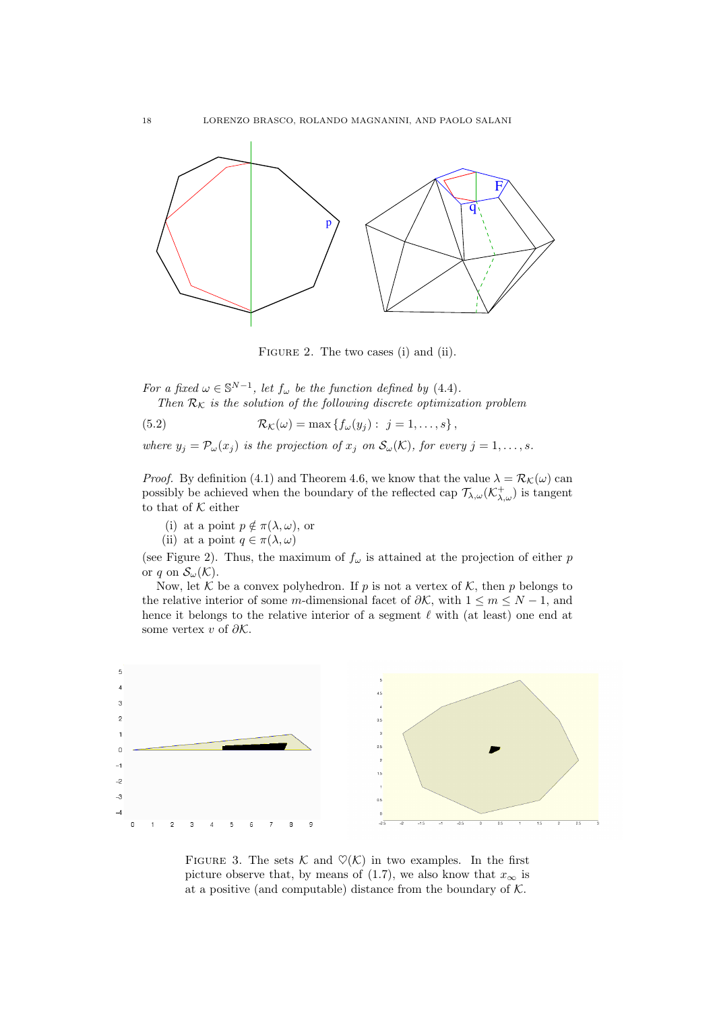

FIGURE 2. The two cases (i) and (ii).

For a fixed  $\omega \in \mathbb{S}^{N-1}$ , let  $f_{\omega}$  be the function defined by (4.4). Then  $\mathcal{R}_K$  is the solution of the following discrete optimization problem

(5.2) 
$$
\mathcal{R}_{\mathcal{K}}(\omega) = \max \left\{ f_{\omega}(y_j) : j = 1, \ldots, s \right\},
$$

where  $y_j = \mathcal{P}_{\omega}(x_j)$  is the projection of  $x_j$  on  $\mathcal{S}_{\omega}(\mathcal{K})$ , for every  $j = 1, \ldots, s$ .

*Proof.* By definition (4.1) and Theorem 4.6, we know that the value  $\lambda = \mathcal{R}_{\mathcal{K}}(\omega)$  can possibly be achieved when the boundary of the reflected cap  $\mathcal{T}_{\lambda,\omega}(\mathcal{K}^+_{\lambda,\omega})$  is tangent to that of  $K$  either

- (i) at a point  $p \notin \pi(\lambda, \omega)$ , or
- (ii) at a point  $q \in \pi(\lambda, \omega)$

(see Figure 2). Thus, the maximum of  $f_{\omega}$  is attained at the projection of either p or q on  $\mathcal{S}_{\omega}(\mathcal{K})$ .

Now, let  $K$  be a convex polyhedron. If p is not a vertex of  $K$ , then p belongs to the relative interior of some m-dimensional facet of  $\partial \mathcal{K}$ , with  $1 \leq m \leq N - 1$ , and hence it belongs to the relative interior of a segment  $\ell$  with (at least) one end at some vertex v of  $\partial \mathcal{K}$ .



FIGURE 3. The sets  $\mathcal K$  and  $\mathcal O(\mathcal K)$  in two examples. In the first picture observe that, by means of (1.7), we also know that  $x_{\infty}$  is at a positive (and computable) distance from the boundary of  $K$ .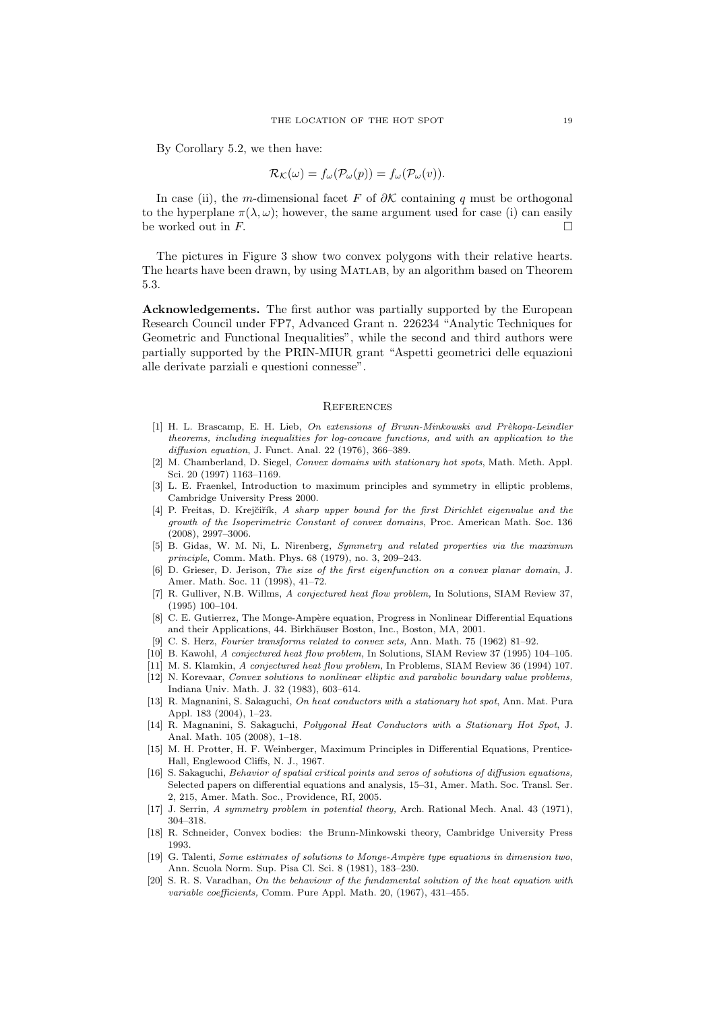By Corollary 5.2, we then have:

$$
\mathcal{R}_{\mathcal{K}}(\omega) = f_{\omega}(\mathcal{P}_{\omega}(p)) = f_{\omega}(\mathcal{P}_{\omega}(v)).
$$

In case (ii), the m-dimensional facet F of  $\partial K$  containing q must be orthogonal to the hyperplane  $\pi(\lambda, \omega)$ ; however, the same argument used for case (i) can easily be worked out in  $F$ .

The pictures in Figure 3 show two convex polygons with their relative hearts. The hearts have been drawn, by using Matlab, by an algorithm based on Theorem 5.3.

Acknowledgements. The first author was partially supported by the European Research Council under FP7, Advanced Grant n. 226234 "Analytic Techniques for Geometric and Functional Inequalities", while the second and third authors were partially supported by the PRIN-MIUR grant "Aspetti geometrici delle equazioni alle derivate parziali e questioni connesse".

#### **REFERENCES**

- [1] H. L. Brascamp, E. H. Lieb, On extensions of Brunn-Minkowski and Prèkopa-Leindler theorems, including inequalities for log-concave functions, and with an application to the diffusion equation, J. Funct. Anal. 22 (1976), 366–389.
- [2] M. Chamberland, D. Siegel, Convex domains with stationary hot spots, Math. Meth. Appl. Sci. 20 (1997) 1163–1169.
- [3] L. E. Fraenkel, Introduction to maximum principles and symmetry in elliptic problems, Cambridge University Press 2000.
- [4] P. Freitas, D. Krejčiřík, A sharp upper bound for the first Dirichlet eigenvalue and the growth of the Isoperimetric Constant of convex domains, Proc. American Math. Soc. 136 (2008), 2997–3006.
- [5] B. Gidas, W. M. Ni, L. Nirenberg, Symmetry and related properties via the maximum principle, Comm. Math. Phys. 68 (1979), no. 3, 209–243.
- [6] D. Grieser, D. Jerison, The size of the first eigenfunction on a convex planar domain, J. Amer. Math. Soc. 11 (1998), 41–72.
- [7] R. Gulliver, N.B. Willms, A conjectured heat flow problem, In Solutions, SIAM Review 37, (1995) 100–104.
- [8] C. E. Gutierrez, The Monge-Ampère equation, Progress in Nonlinear Differential Equations and their Applications, 44. Birkhäuser Boston, Inc., Boston, MA, 2001.
- [9] C. S. Herz, Fourier transforms related to convex sets, Ann. Math. 75 (1962) 81–92.
- [10] B. Kawohl, A conjectured heat flow problem, In Solutions, SIAM Review 37 (1995) 104–105.
- [11] M. S. Klamkin, A conjectured heat flow problem, In Problems, SIAM Review 36 (1994) 107.
- [12] N. Korevaar, Convex solutions to nonlinear elliptic and parabolic boundary value problems, Indiana Univ. Math. J. 32 (1983), 603–614.
- [13] R. Magnanini, S. Sakaguchi, On heat conductors with a stationary hot spot, Ann. Mat. Pura Appl. 183 (2004), 1–23.
- [14] R. Magnanini, S. Sakaguchi, Polygonal Heat Conductors with a Stationary Hot Spot, J. Anal. Math. 105 (2008), 1–18.
- [15] M. H. Protter, H. F. Weinberger, Maximum Principles in Differential Equations, Prentice-Hall, Englewood Cliffs, N. J., 1967.
- [16] S. Sakaguchi, Behavior of spatial critical points and zeros of solutions of diffusion equations, Selected papers on differential equations and analysis, 15–31, Amer. Math. Soc. Transl. Ser. 2, 215, Amer. Math. Soc., Providence, RI, 2005.
- [17] J. Serrin, A symmetry problem in potential theory, Arch. Rational Mech. Anal. 43 (1971), 304–318.
- [18] R. Schneider, Convex bodies: the Brunn-Minkowski theory, Cambridge University Press 1993.
- [19] G. Talenti, Some estimates of solutions to Monge-Ampère type equations in dimension two, Ann. Scuola Norm. Sup. Pisa Cl. Sci. 8 (1981), 183–230.
- [20] S. R. S. Varadhan, On the behaviour of the fundamental solution of the heat equation with variable coefficients, Comm. Pure Appl. Math. 20, (1967), 431–455.